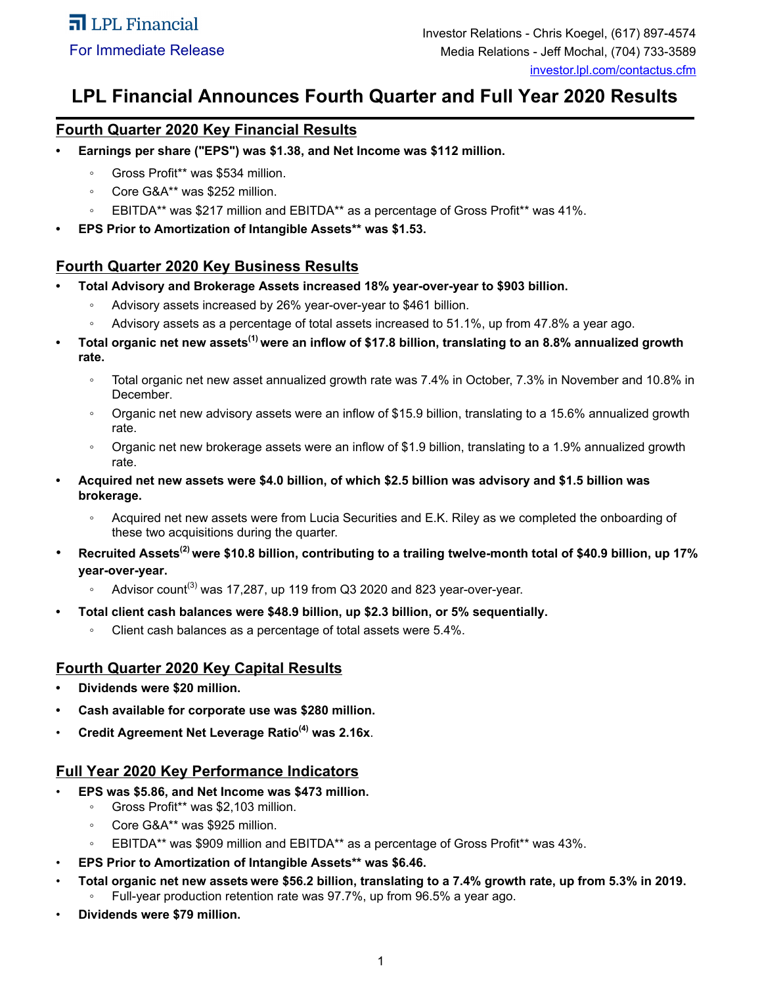# **LPL Financial Announces Fourth Quarter and Full Year 2020 Results**

# **Fourth Quarter 2020 Key Financial Results**

- **• Earnings per share ("EPS") was \$1.38, and Net Income was \$112 million.** 
	- Gross Profit\*\* was \$534 million.
	- Core G&A\*\* was \$252 million.
	- EBITDA\*\* was \$217 million and EBITDA\*\* as a percentage of Gross Profit\*\* was 41%.
- **• EPS Prior to Amortization of Intangible Assets\*\* was \$1.53.**

# **Fourth Quarter 2020 Key Business Results**

- **• Total Advisory and Brokerage Assets increased 18% year-over-year to \$903 billion.**
	- Advisory assets increased by 26% year-over-year to \$461 billion.
	- Advisory assets as a percentage of total assets increased to 51.1%, up from 47.8% a year ago.
- **• Total organic net new assets(1) were an inflow of \$17.8 billion, translating to an 8.8% annualized growth rate.**
	- Total organic net new asset annualized growth rate was 7.4% in October, 7.3% in November and 10.8% in December.
	- Organic net new advisory assets were an inflow of \$15.9 billion, translating to a 15.6% annualized growth rate.
	- Organic net new brokerage assets were an inflow of \$1.9 billion, translating to a 1.9% annualized growth rate.
- **• Acquired net new assets were \$4.0 billion, of which \$2.5 billion was advisory and \$1.5 billion was brokerage.**
	- Acquired net new assets were from Lucia Securities and E.K. Riley as we completed the onboarding of these two acquisitions during the quarter.
- **Recruited Assets(2) were \$10.8 billion, contributing to a trailing twelve-month total of \$40.9 billion, up 17% year-over-year.**
	- $\cdot$  Advisor count<sup>(3)</sup> was 17,287, up 119 from Q3 2020 and 823 year-over-year.
- **• Total client cash balances were \$48.9 billion, up \$2.3 billion, or 5% sequentially.**
	- Client cash balances as a percentage of total assets were 5.4%.

# **Fourth Quarter 2020 Key Capital Results**

- **• Dividends were \$20 million.**
- **• Cash available for corporate use was \$280 million.**
- **Credit Agreement Net Leverage Ratio(4) was 2.16x**.

# **Full Year 2020 Key Performance Indicators**

- **EPS was \$5.86, and Net Income was \$473 million.**
	- Gross Profit\*\* was \$2,103 million.
	- Core G&A\*\* was \$925 million.
	- EBITDA\*\* was \$909 million and EBITDA\*\* as a percentage of Gross Profit\*\* was 43%.
- **EPS Prior to Amortization of Intangible Assets\*\* was \$6.46.**
- **Total organic net new assets were \$56.2 billion, translating to a 7.4% growth rate, up from 5.3% in 2019.** Full-year production retention rate was 97.7%, up from 96.5% a year ago.
- **Dividends were \$79 million.**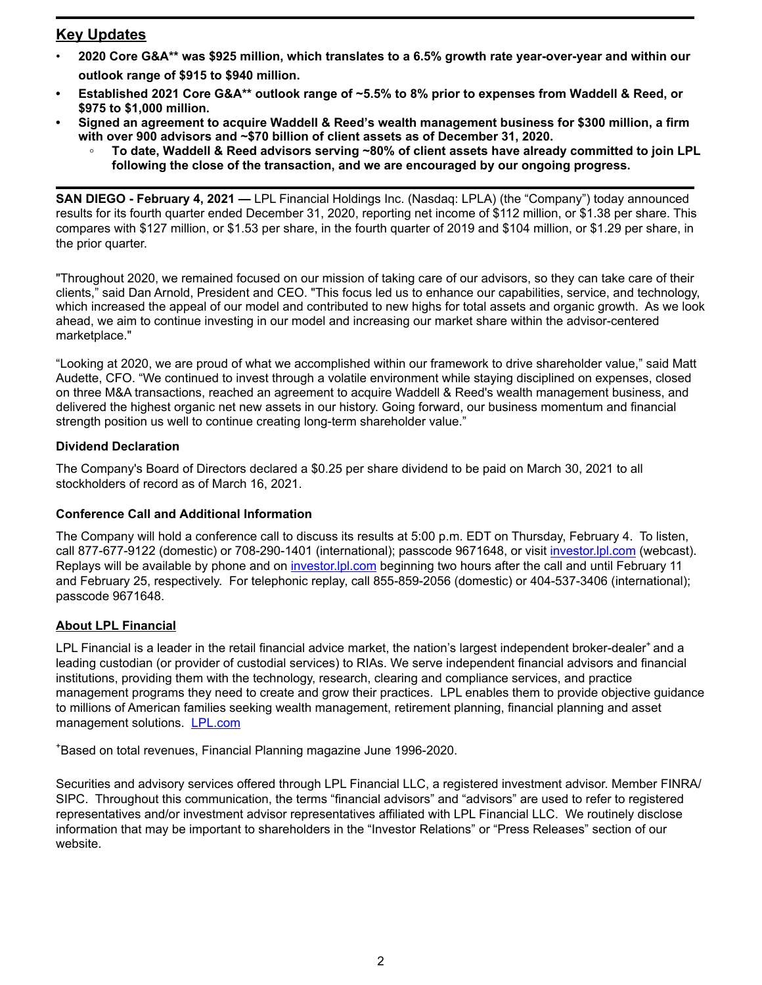# **Key Updates**

- **2020 Core G&A\*\* was \$925 million, which translates to a 6.5% growth rate year-over-year and within our outlook range of \$915 to \$940 million.**
- **• Established 2021 Core G&A\*\* outlook range of ~5.5% to 8% prior to expenses from Waddell & Reed, or \$975 to \$1,000 million.**
- **• Signed an agreement to acquire Waddell & Reed's wealth management business for \$300 million, a firm with over 900 advisors and ~\$70 billion of client assets as of December 31, 2020.**
	- **◦ To date, Waddell & Reed advisors serving ~80% of client assets have already committed to join LPL following the close of the transaction, and we are encouraged by our ongoing progress.**

**SAN DIEGO - February 4, 2021 —** LPL Financial Holdings Inc. (Nasdaq: LPLA) (the "Company") today announced results for its fourth quarter ended December 31, 2020, reporting net income of \$112 million, or \$1.38 per share. This compares with \$127 million, or \$1.53 per share, in the fourth quarter of 2019 and \$104 million, or \$1.29 per share, in the prior quarter.

"Throughout 2020, we remained focused on our mission of taking care of our advisors, so they can take care of their clients," said Dan Arnold, President and CEO. "This focus led us to enhance our capabilities, service, and technology, which increased the appeal of our model and contributed to new highs for total assets and organic growth. As we look ahead, we aim to continue investing in our model and increasing our market share within the advisor-centered marketplace."

"Looking at 2020, we are proud of what we accomplished within our framework to drive shareholder value," said Matt Audette, CFO. "We continued to invest through a volatile environment while staying disciplined on expenses, closed on three M&A transactions, reached an agreement to acquire Waddell & Reed's wealth management business, and delivered the highest organic net new assets in our history. Going forward, our business momentum and financial strength position us well to continue creating long-term shareholder value."

# **Dividend Declaration**

The Company's Board of Directors declared a \$0.25 per share dividend to be paid on March 30, 2021 to all stockholders of record as of March 16, 2021.

#### **Conference Call and Additional Information**

The Company will hold a conference call to discuss its results at 5:00 p.m. EDT on Thursday, February 4. To listen, call 877-677-9122 (domestic) or 708-290-1401 (international); passcode 9671648, or visit *investor.lpl.com* (webcast). Replays will be available by phone and on investor. Ipl.com beginning two hours after the call and until February 11 and February 25, respectively. For telephonic replay, call 855-859-2056 (domestic) or 404-537-3406 (international); passcode 9671648.

# **About LPL Financial**

LPL Financial is a leader in the retail financial advice market, the nation's largest independent broker-dealer<sup>+</sup>and a leading custodian (or provider of custodial services) to RIAs. We serve independent financial advisors and financial institutions, providing them with the technology, research, clearing and compliance services, and practice management programs they need to create and grow their practices. LPL enables them to provide objective guidance to millions of American families seeking wealth management, retirement planning, financial planning and asset management solutions. **LPL.com** 

<sup>+</sup>Based on total revenues, Financial Planning magazine June 1996-2020.

Securities and advisory services offered through LPL Financial LLC, a registered investment advisor. Member FINRA/ SIPC. Throughout this communication, the terms "financial advisors" and "advisors" are used to refer to registered representatives and/or investment advisor representatives affiliated with LPL Financial LLC. We routinely disclose information that may be important to shareholders in the "Investor Relations" or "Press Releases" section of our website.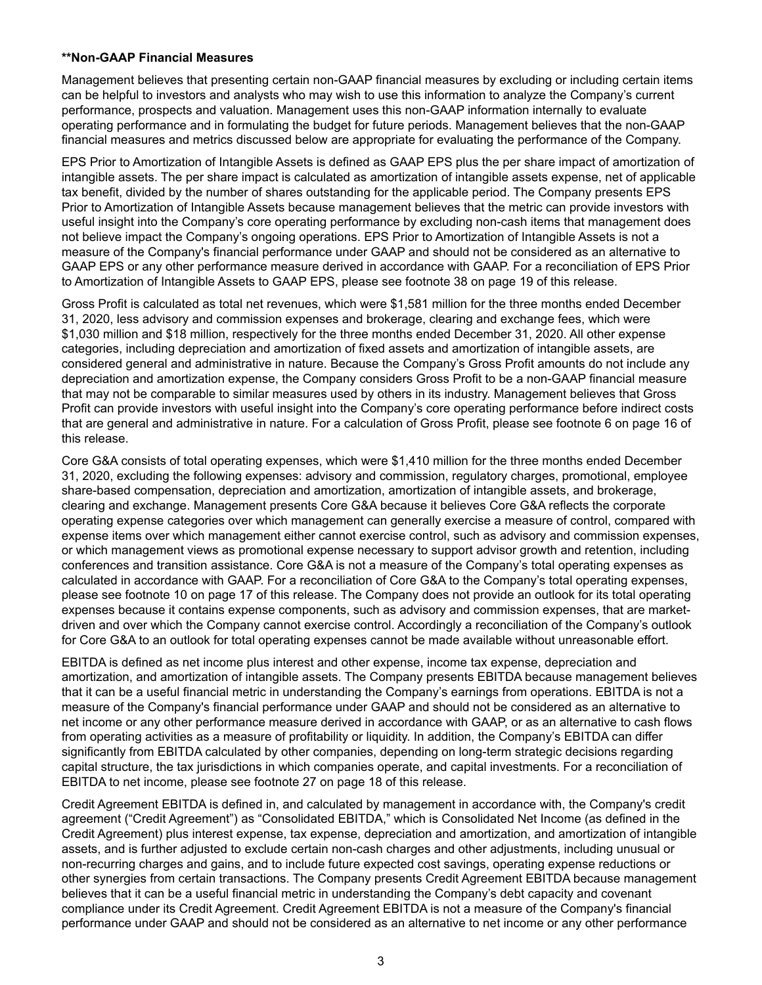#### **\*\*Non-GAAP Financial Measures**

Management believes that presenting certain non-GAAP financial measures by excluding or including certain items can be helpful to investors and analysts who may wish to use this information to analyze the Company's current performance, prospects and valuation. Management uses this non-GAAP information internally to evaluate operating performance and in formulating the budget for future periods. Management believes that the non-GAAP financial measures and metrics discussed below are appropriate for evaluating the performance of the Company.

EPS Prior to Amortization of Intangible Assets is defined as GAAP EPS plus the per share impact of amortization of intangible assets. The per share impact is calculated as amortization of intangible assets expense, net of applicable tax benefit, divided by the number of shares outstanding for the applicable period. The Company presents EPS Prior to Amortization of Intangible Assets because management believes that the metric can provide investors with useful insight into the Company's core operating performance by excluding non-cash items that management does not believe impact the Company's ongoing operations. EPS Prior to Amortization of Intangible Assets is not a measure of the Company's financial performance under GAAP and should not be considered as an alternative to GAAP EPS or any other performance measure derived in accordance with GAAP. For a reconciliation of EPS Prior to Amortization of Intangible Assets to GAAP EPS, please see footnote 38 on page 19 of this release.

Gross Profit is calculated as total net revenues, which were \$1,581 million for the three months ended December 31, 2020, less advisory and commission expenses and brokerage, clearing and exchange fees, which were \$1,030 million and \$18 million, respectively for the three months ended December 31, 2020. All other expense categories, including depreciation and amortization of fixed assets and amortization of intangible assets, are considered general and administrative in nature. Because the Company's Gross Profit amounts do not include any depreciation and amortization expense, the Company considers Gross Profit to be a non-GAAP financial measure that may not be comparable to similar measures used by others in its industry. Management believes that Gross Profit can provide investors with useful insight into the Company's core operating performance before indirect costs that are general and administrative in nature. For a calculation of Gross Profit, please see footnote 6 on page 16 of this release.

Core G&A consists of total operating expenses, which were \$1,410 million for the three months ended December 31, 2020, excluding the following expenses: advisory and commission, regulatory charges, promotional, employee share-based compensation, depreciation and amortization, amortization of intangible assets, and brokerage, clearing and exchange. Management presents Core G&A because it believes Core G&A reflects the corporate operating expense categories over which management can generally exercise a measure of control, compared with expense items over which management either cannot exercise control, such as advisory and commission expenses, or which management views as promotional expense necessary to support advisor growth and retention, including conferences and transition assistance. Core G&A is not a measure of the Company's total operating expenses as calculated in accordance with GAAP. For a reconciliation of Core G&A to the Company's total operating expenses, please see footnote 10 on page 17 of this release. The Company does not provide an outlook for its total operating expenses because it contains expense components, such as advisory and commission expenses, that are marketdriven and over which the Company cannot exercise control. Accordingly a reconciliation of the Company's outlook for Core G&A to an outlook for total operating expenses cannot be made available without unreasonable effort.

EBITDA is defined as net income plus interest and other expense, income tax expense, depreciation and amortization, and amortization of intangible assets. The Company presents EBITDA because management believes that it can be a useful financial metric in understanding the Company's earnings from operations. EBITDA is not a measure of the Company's financial performance under GAAP and should not be considered as an alternative to net income or any other performance measure derived in accordance with GAAP, or as an alternative to cash flows from operating activities as a measure of profitability or liquidity. In addition, the Company's EBITDA can differ significantly from EBITDA calculated by other companies, depending on long-term strategic decisions regarding capital structure, the tax jurisdictions in which companies operate, and capital investments. For a reconciliation of EBITDA to net income, please see footnote 27 on page 18 of this release.

Credit Agreement EBITDA is defined in, and calculated by management in accordance with, the Company's credit agreement ("Credit Agreement") as "Consolidated EBITDA," which is Consolidated Net Income (as defined in the Credit Agreement) plus interest expense, tax expense, depreciation and amortization, and amortization of intangible assets, and is further adjusted to exclude certain non-cash charges and other adjustments, including unusual or non-recurring charges and gains, and to include future expected cost savings, operating expense reductions or other synergies from certain transactions. The Company presents Credit Agreement EBITDA because management believes that it can be a useful financial metric in understanding the Company's debt capacity and covenant compliance under its Credit Agreement. Credit Agreement EBITDA is not a measure of the Company's financial performance under GAAP and should not be considered as an alternative to net income or any other performance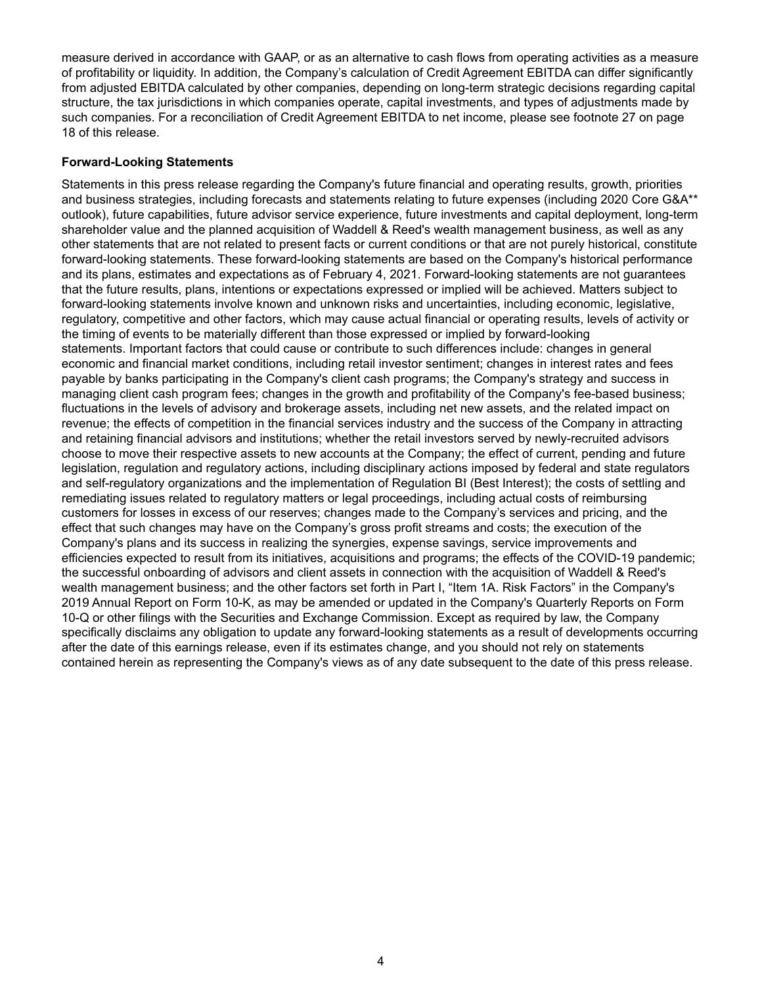measure derived in accordance with GAAP, or as an alternative to cash flows from operating activities as a measure of profitability or liquidity. In addition, the Company's calculation of Credit Agreement EBITDA can differ significantly from adjusted EBITDA calculated by other companies, depending on long-term strategic decisions regarding capital structure, the tax jurisdictions in which companies operate, capital investments, and types of adjustments made by such companies. For a reconciliation of Credit Agreement EBITDA to net income, please see footnote 27 on page 18 of this release.

#### **Forward-Looking Statements**

Statements in this press release regarding the Company's future financial and operating results, growth, priorities and business strategies, including forecasts and statements relating to future expenses (including 2020 Core G&A\*\* outlook), future capabilities, future advisor service experience, future investments and capital deployment, long-term shareholder value and the planned acquisition of Waddell & Reed's wealth management business, as well as any other statements that are not related to present facts or current conditions or that are not purely historical, constitute forward-looking statements. These forward-looking statements are based on the Company's historical performance and its plans, estimates and expectations as of February 4, 2021. Forward-looking statements are not guarantees that the future results, plans, intentions or expectations expressed or implied will be achieved. Matters subject to forward-looking statements involve known and unknown risks and uncertainties, including economic, legislative, regulatory, competitive and other factors, which may cause actual financial or operating results, levels of activity or the timing of events to be materially different than those expressed or implied by forward-looking statements. Important factors that could cause or contribute to such differences include: changes in general economic and financial market conditions, including retail investor sentiment; changes in interest rates and fees payable by banks participating in the Company's client cash programs; the Company's strategy and success in managing client cash program fees; changes in the growth and profitability of the Company's fee-based business; fluctuations in the levels of advisory and brokerage assets, including net new assets, and the related impact on revenue; the effects of competition in the financial services industry and the success of the Company in attracting and retaining financial advisors and institutions; whether the retail investors served by newly-recruited advisors choose to move their respective assets to new accounts at the Company; the effect of current, pending and future legislation, regulation and regulatory actions, including disciplinary actions imposed by federal and state regulators and self-regulatory organizations and the implementation of Regulation BI (Best Interest); the costs of settling and remediating issues related to regulatory matters or legal proceedings, including actual costs of reimbursing customers for losses in excess of our reserves; changes made to the Company's services and pricing, and the effect that such changes may have on the Company's gross profit streams and costs; the execution of the Company's plans and its success in realizing the synergies, expense savings, service improvements and efficiencies expected to result from its initiatives, acquisitions and programs; the effects of the COVID-19 pandemic; the successful onboarding of advisors and client assets in connection with the acquisition of Waddell & Reed's wealth management business; and the other factors set forth in Part I, "Item 1A. Risk Factors" in the Company's 2019 Annual Report on Form 10-K, as may be amended or updated in the Company's Quarterly Reports on Form 10-Q or other filings with the Securities and Exchange Commission. Except as required by law, the Company specifically disclaims any obligation to update any forward-looking statements as a result of developments occurring after the date of this earnings release, even if its estimates change, and you should not rely on statements contained herein as representing the Company's views as of any date subsequent to the date of this press release.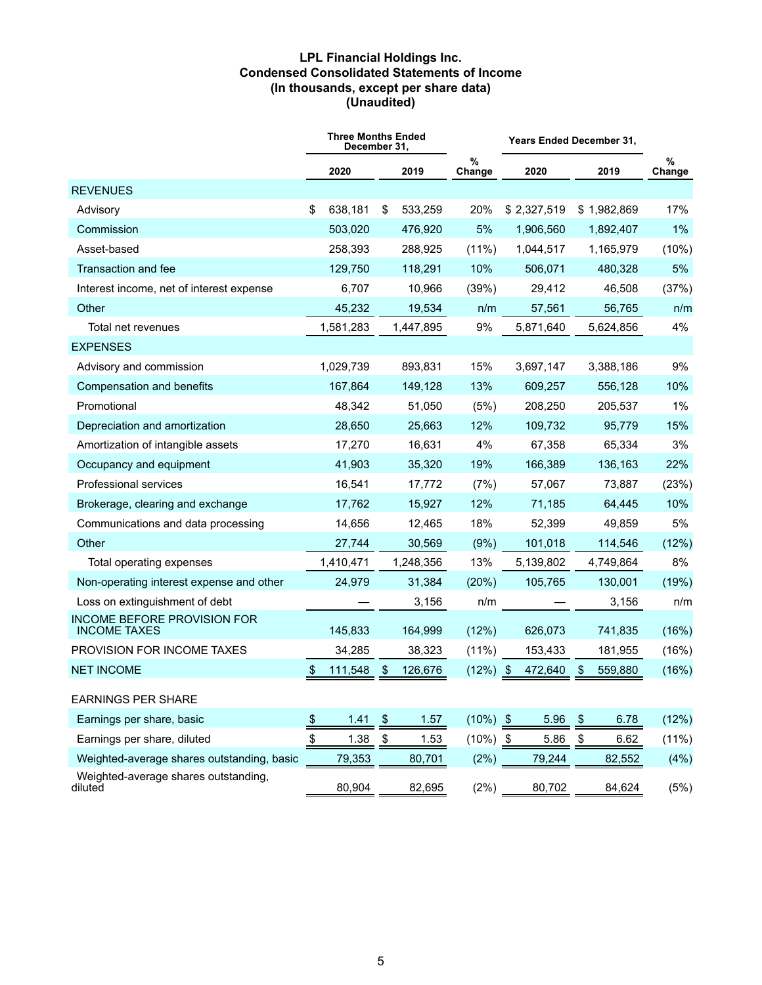#### **LPL Financial Holdings Inc. Condensed Consolidated Statements of Income (In thousands, except per share data) (Unaudited)**

|                                                    | <b>Three Months Ended</b><br>December 31, |                         |           |                |             | Years Ended December 31, |             |             |  |
|----------------------------------------------------|-------------------------------------------|-------------------------|-----------|----------------|-------------|--------------------------|-------------|-------------|--|
|                                                    | 2020                                      |                         | 2019      | $\%$<br>Change | 2020        |                          | 2019        | %<br>Change |  |
| <b>REVENUES</b>                                    |                                           |                         |           |                |             |                          |             |             |  |
| Advisory                                           | \$<br>638,181                             | \$                      | 533,259   | 20%            | \$2,327,519 |                          | \$1,982,869 | 17%         |  |
| Commission                                         | 503,020                                   |                         | 476,920   | 5%             | 1,906,560   |                          | 1,892,407   | $1\%$       |  |
| Asset-based                                        | 258,393                                   |                         | 288,925   | $(11\%)$       | 1,044,517   |                          | 1,165,979   | (10%)       |  |
| Transaction and fee                                | 129,750                                   |                         | 118,291   | 10%            | 506,071     |                          | 480,328     | 5%          |  |
| Interest income, net of interest expense           | 6,707                                     |                         | 10,966    | (39%)          | 29,412      |                          | 46,508      | (37%)       |  |
| Other                                              | 45,232                                    |                         | 19,534    | n/m            | 57,561      |                          | 56,765      | n/m         |  |
| Total net revenues                                 | 1,581,283                                 |                         | 1,447,895 | 9%             | 5,871,640   |                          | 5,624,856   | 4%          |  |
| <b>EXPENSES</b>                                    |                                           |                         |           |                |             |                          |             |             |  |
| Advisory and commission                            | 1,029,739                                 |                         | 893,831   | 15%            | 3,697,147   |                          | 3,388,186   | 9%          |  |
| Compensation and benefits                          | 167,864                                   |                         | 149,128   | 13%            | 609,257     |                          | 556,128     | 10%         |  |
| Promotional                                        | 48,342                                    |                         | 51,050    | (5%)           | 208,250     |                          | 205,537     | $1\%$       |  |
| Depreciation and amortization                      | 28,650                                    |                         | 25,663    | 12%            | 109,732     |                          | 95,779      | 15%         |  |
| Amortization of intangible assets                  | 17,270                                    |                         | 16,631    | 4%             | 67,358      |                          | 65,334      | 3%          |  |
| Occupancy and equipment                            | 41,903                                    |                         | 35,320    | 19%            | 166,389     |                          | 136,163     | 22%         |  |
| Professional services                              | 16,541                                    |                         | 17,772    | (7%)           | 57,067      |                          | 73,887      | (23%)       |  |
| Brokerage, clearing and exchange                   | 17,762                                    |                         | 15,927    | 12%            | 71,185      |                          | 64,445      | 10%         |  |
| Communications and data processing                 | 14,656                                    |                         | 12,465    | 18%            | 52,399      |                          | 49,859      | 5%          |  |
| Other                                              | 27,744                                    |                         | 30,569    | (9%)           | 101,018     |                          | 114,546     | (12%)       |  |
| Total operating expenses                           | 1,410,471                                 |                         | 1,248,356 | 13%            | 5,139,802   |                          | 4,749,864   | 8%          |  |
| Non-operating interest expense and other           | 24,979                                    |                         | 31,384    | (20%)          | 105,765     |                          | 130,001     | (19%)       |  |
| Loss on extinguishment of debt                     |                                           |                         | 3,156     | n/m            |             |                          | 3,156       | n/m         |  |
| INCOME BEFORE PROVISION FOR<br><b>INCOME TAXES</b> | 145,833                                   |                         | 164,999   | (12%)          | 626,073     |                          | 741,835     | (16%)       |  |
| PROVISION FOR INCOME TAXES                         | 34,285                                    |                         | 38,323    | $(11\%)$       | 153,433     |                          | 181,955     | (16%)       |  |
| <b>NET INCOME</b>                                  | \$<br>111,548                             | \$                      | 126,676   | $(12\%)$ \$    | 472,640     | \$                       | 559,880     | (16%)       |  |
| <b>EARNINGS PER SHARE</b>                          |                                           |                         |           |                |             |                          |             |             |  |
| Earnings per share, basic                          | \$<br>1.41                                | $\sqrt[6]{\frac{1}{2}}$ | 1.57      | $(10\%)$ \$    | 5.96        | \$                       | 6.78        | (12%)       |  |
| Earnings per share, diluted                        | \$<br>1.38                                | \$                      | 1.53      | $(10\%)$ \$    | 5.86        | \$                       | 6.62        | (11%)       |  |
| Weighted-average shares outstanding, basic         | 79,353                                    |                         | 80,701    | (2%)           | 79,244      |                          | 82,552      | (4%)        |  |
| Weighted-average shares outstanding,<br>diluted    | 80,904                                    |                         | 82,695    | (2%)           | 80,702      |                          | 84,624      | (5%)        |  |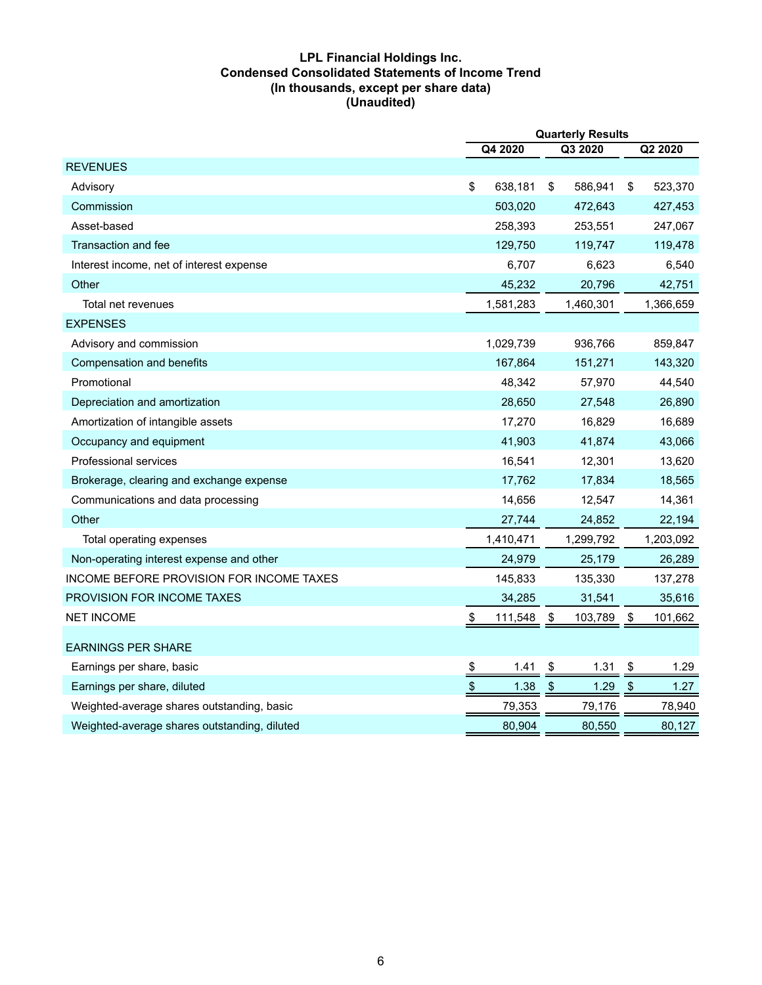#### **LPL Financial Holdings Inc. Condensed Consolidated Statements of Income Trend (In thousands, except per share data) (Unaudited)**

|                                              | <b>Quarterly Results</b>   |           |               |           |            |           |  |
|----------------------------------------------|----------------------------|-----------|---------------|-----------|------------|-----------|--|
|                                              |                            | Q4 2020   |               | Q3 2020   |            | Q2 2020   |  |
| <b>REVENUES</b>                              |                            |           |               |           |            |           |  |
| Advisory                                     | \$                         | 638,181   | \$            | 586,941   | \$         | 523,370   |  |
| Commission                                   |                            | 503,020   |               | 472,643   |            | 427,453   |  |
| Asset-based                                  |                            | 258,393   |               | 253,551   |            | 247,067   |  |
| <b>Transaction and fee</b>                   |                            | 129,750   |               | 119,747   |            | 119,478   |  |
| Interest income, net of interest expense     |                            | 6,707     |               | 6,623     |            | 6,540     |  |
| Other                                        |                            | 45,232    |               | 20,796    |            | 42,751    |  |
| Total net revenues                           |                            | 1,581,283 |               | 1,460,301 |            | 1,366,659 |  |
| <b>EXPENSES</b>                              |                            |           |               |           |            |           |  |
| Advisory and commission                      |                            | 1,029,739 |               | 936,766   |            | 859,847   |  |
| Compensation and benefits                    |                            | 167,864   |               | 151,271   |            | 143,320   |  |
| Promotional                                  |                            | 48,342    |               | 57,970    |            | 44,540    |  |
| Depreciation and amortization                |                            | 28,650    |               | 27,548    |            | 26,890    |  |
| Amortization of intangible assets            |                            | 17,270    |               | 16,829    |            | 16,689    |  |
| Occupancy and equipment                      |                            | 41,903    |               | 41,874    |            | 43,066    |  |
| Professional services                        |                            | 16,541    |               | 12,301    |            | 13,620    |  |
| Brokerage, clearing and exchange expense     |                            | 17,762    |               | 17,834    |            | 18,565    |  |
| Communications and data processing           |                            | 14,656    |               | 12,547    |            | 14,361    |  |
| Other                                        |                            | 27,744    |               | 24,852    |            | 22,194    |  |
| Total operating expenses                     |                            | 1,410,471 |               | 1,299,792 |            | 1,203,092 |  |
| Non-operating interest expense and other     |                            | 24,979    |               | 25,179    |            | 26,289    |  |
| INCOME BEFORE PROVISION FOR INCOME TAXES     |                            | 145,833   |               | 135,330   |            | 137,278   |  |
| <b>PROVISION FOR INCOME TAXES</b>            |                            | 34,285    |               | 31,541    |            | 35,616    |  |
| <b>NET INCOME</b>                            | \$                         | 111,548   | \$            | 103,789   | \$         | 101,662   |  |
| <b>EARNINGS PER SHARE</b>                    |                            |           |               |           |            |           |  |
| Earnings per share, basic                    | $\overline{v}$             | 1.41      | \$            | 1.31      | \$         | 1.29      |  |
| Earnings per share, diluted                  | $\boldsymbol{\mathsf{\$}}$ | 1.38      | $\frac{1}{2}$ | 1.29      | $\sqrt{2}$ | 1.27      |  |
| Weighted-average shares outstanding, basic   |                            | 79,353    |               | 79,176    |            | 78,940    |  |
| Weighted-average shares outstanding, diluted |                            | 80,904    |               | 80,550    |            | 80,127    |  |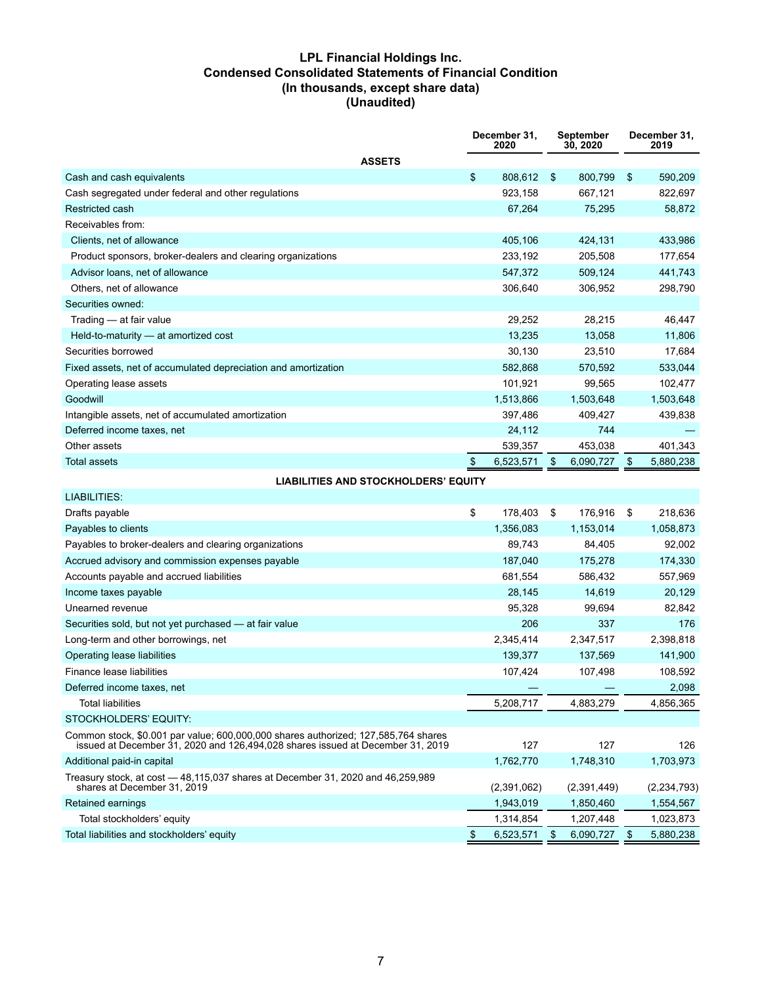#### **LPL Financial Holdings Inc. Condensed Consolidated Statements of Financial Condition (In thousands, except share data) (Unaudited)**

|                                                                | December 31.<br>2020 |           | September<br>30, 2020 |           | December 31.<br>2019 |
|----------------------------------------------------------------|----------------------|-----------|-----------------------|-----------|----------------------|
| <b>ASSETS</b>                                                  |                      |           |                       |           |                      |
| Cash and cash equivalents                                      | \$                   | 808,612   | -\$                   | 800,799   | \$<br>590,209        |
| Cash segregated under federal and other regulations            |                      | 923.158   |                       | 667,121   | 822,697              |
| <b>Restricted cash</b>                                         |                      | 67,264    |                       | 75,295    | 58.872               |
| Receivables from:                                              |                      |           |                       |           |                      |
| Clients, net of allowance                                      |                      | 405,106   |                       | 424,131   | 433,986              |
| Product sponsors, broker-dealers and clearing organizations    |                      | 233,192   |                       | 205,508   | 177,654              |
| Advisor Ioans, net of allowance                                |                      | 547,372   |                       | 509,124   | 441,743              |
| Others, net of allowance                                       |                      | 306,640   |                       | 306,952   | 298,790              |
| Securities owned:                                              |                      |           |                       |           |                      |
| Trading - at fair value                                        |                      | 29,252    |                       | 28,215    | 46,447               |
| Held-to-maturity - at amortized cost                           |                      | 13,235    |                       | 13,058    | 11,806               |
| Securities borrowed                                            |                      | 30,130    |                       | 23,510    | 17,684               |
| Fixed assets, net of accumulated depreciation and amortization |                      | 582,868   |                       | 570,592   | 533,044              |
| Operating lease assets                                         |                      | 101,921   |                       | 99,565    | 102,477              |
| Goodwill                                                       |                      | 1,513,866 |                       | 1,503,648 | 1,503,648            |
| Intangible assets, net of accumulated amortization             |                      | 397,486   |                       | 409,427   | 439,838              |
| Deferred income taxes, net                                     |                      | 24,112    |                       | 744       |                      |
| Other assets                                                   |                      | 539,357   |                       | 453,038   | 401,343              |
| <b>Total assets</b>                                            |                      | 6,523,571 | - \$                  | 6,090,727 | \$<br>5,880,238      |
| <b>LIABILITIES AND STOCKHOLDERS' EQUITY</b>                    |                      |           |                       |           |                      |
| LIABILITIES:                                                   |                      |           |                       |           |                      |
| Drafts payable                                                 | \$                   | 178.403   | \$                    | 176.916   | \$<br>218.636        |

| Diano payabio                                                                                                                                                        | Ψ | 110,700     |     | ,,,,,,      | 10,000          |
|----------------------------------------------------------------------------------------------------------------------------------------------------------------------|---|-------------|-----|-------------|-----------------|
| Payables to clients                                                                                                                                                  |   | 1,356,083   |     | 1,153,014   | 1,058,873       |
| Payables to broker-dealers and clearing organizations                                                                                                                |   | 89,743      |     | 84,405      | 92,002          |
| Accrued advisory and commission expenses payable                                                                                                                     |   | 187,040     |     | 175,278     | 174,330         |
| Accounts payable and accrued liabilities                                                                                                                             |   | 681,554     |     | 586,432     | 557,969         |
| Income taxes payable                                                                                                                                                 |   | 28,145      |     | 14,619      | 20,129          |
| Unearned revenue                                                                                                                                                     |   | 95,328      |     | 99,694      | 82,842          |
| Securities sold, but not yet purchased - at fair value                                                                                                               |   | 206         |     | 337         | 176             |
| Long-term and other borrowings, net                                                                                                                                  |   | 2,345,414   |     | 2,347,517   | 2,398,818       |
| Operating lease liabilities                                                                                                                                          |   | 139,377     |     | 137,569     | 141,900         |
| Finance lease liabilities                                                                                                                                            |   | 107,424     |     | 107,498     | 108,592         |
| Deferred income taxes, net                                                                                                                                           |   |             |     |             | 2,098           |
| <b>Total liabilities</b>                                                                                                                                             |   | 5,208,717   |     | 4,883,279   | 4,856,365       |
| STOCKHOLDERS' EQUITY:                                                                                                                                                |   |             |     |             |                 |
| Common stock, \$0.001 par value; 600,000,000 shares authorized; 127,585,764 shares<br>issued at December 31, 2020 and 126,494,028 shares issued at December 31, 2019 |   | 127         |     | 127         | 126             |
| Additional paid-in capital                                                                                                                                           |   | 1,762,770   |     | 1,748,310   | 1,703,973       |
| Treasury stock, at cost - 48,115,037 shares at December 31, 2020 and 46,259,989<br>shares at December 31, 2019                                                       |   | (2,391,062) |     | (2,391,449) | (2, 234, 793)   |
| Retained earnings                                                                                                                                                    |   | 1,943,019   |     | 1,850,460   | 1,554,567       |
| Total stockholders' equity                                                                                                                                           |   | 1,314,854   |     | 1,207,448   | 1,023,873       |
| Total liabilities and stockholders' equity                                                                                                                           |   | 6,523,571   | \$. | 6,090,727   | \$<br>5,880,238 |
|                                                                                                                                                                      |   |             |     |             |                 |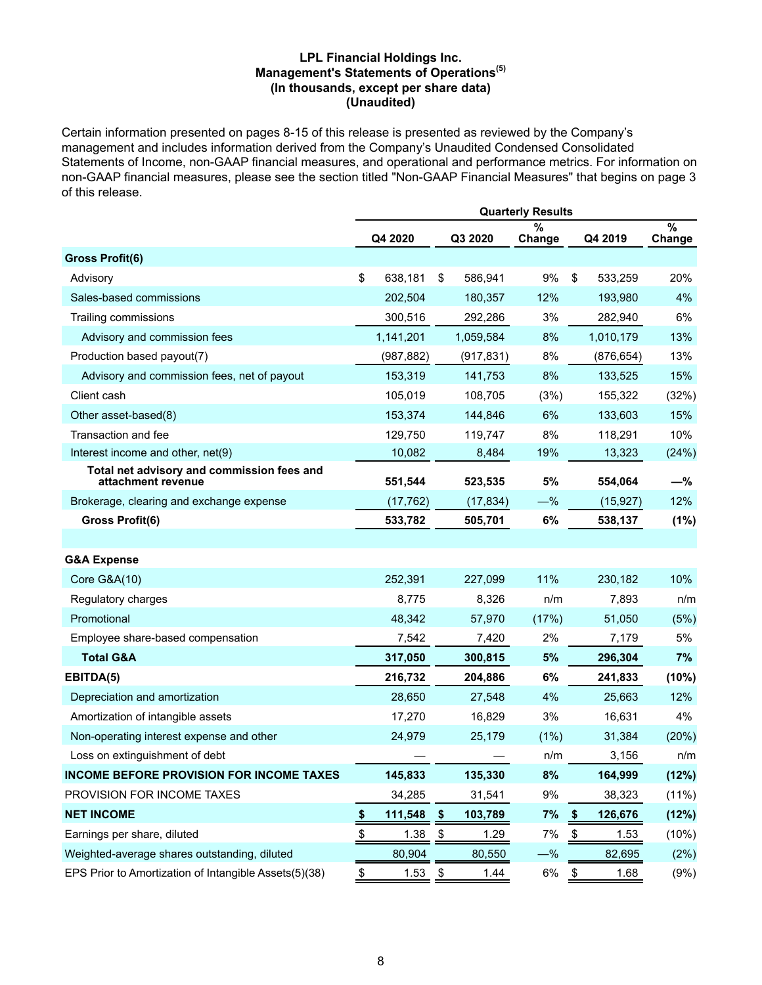#### **LPL Financial Holdings Inc. Management's Statements of Operations(5) (In thousands, except per share data) (Unaudited)**

Certain information presented on pages 8-15 of this release is presented as reviewed by the Company's management and includes information derived from the Company's Unaudited Condensed Consolidated Statements of Income, non-GAAP financial measures, and operational and performance metrics. For information on non-GAAP financial measures, please see the section titled "Non-GAAP Financial Measures" that begins on page 3 of this release.

|                                                                  | <b>Quarterly Results</b> |            |               |            |             |               |            |                |  |  |  |  |
|------------------------------------------------------------------|--------------------------|------------|---------------|------------|-------------|---------------|------------|----------------|--|--|--|--|
|                                                                  |                          | Q4 2020    |               | Q3 2020    | %<br>Change |               | Q4 2019    | $\%$<br>Change |  |  |  |  |
| <b>Gross Profit(6)</b>                                           |                          |            |               |            |             |               |            |                |  |  |  |  |
| Advisory                                                         | \$                       | 638,181    | \$            | 586,941    | 9%          | \$            | 533,259    | 20%            |  |  |  |  |
| Sales-based commissions                                          |                          | 202,504    |               | 180,357    | 12%         |               | 193,980    | 4%             |  |  |  |  |
| Trailing commissions                                             |                          | 300,516    |               | 292,286    | 3%          |               | 282,940    | 6%             |  |  |  |  |
| Advisory and commission fees                                     |                          | 1,141,201  |               | 1,059,584  | 8%          |               | 1,010,179  | 13%            |  |  |  |  |
| Production based payout(7)                                       |                          | (987, 882) |               | (917, 831) | 8%          |               | (876, 654) | 13%            |  |  |  |  |
| Advisory and commission fees, net of payout                      |                          | 153,319    |               | 141,753    | 8%          |               | 133,525    | 15%            |  |  |  |  |
| Client cash                                                      |                          | 105,019    |               | 108,705    | (3%)        |               | 155,322    | (32%)          |  |  |  |  |
| Other asset-based(8)                                             |                          | 153,374    |               | 144,846    | 6%          |               | 133,603    | 15%            |  |  |  |  |
| Transaction and fee                                              |                          | 129,750    |               | 119,747    | 8%          |               | 118,291    | 10%            |  |  |  |  |
| Interest income and other, net(9)                                |                          | 10,082     |               | 8,484      | 19%         |               | 13,323     | (24%)          |  |  |  |  |
| Total net advisory and commission fees and<br>attachment revenue |                          | 551,544    |               | 523,535    | 5%          |               | 554,064    | -%             |  |  |  |  |
| Brokerage, clearing and exchange expense                         |                          | (17, 762)  |               | (17, 834)  | $-\%$       |               | (15, 927)  | 12%            |  |  |  |  |
| Gross Profit(6)                                                  |                          | 533,782    |               | 505,701    | 6%          |               | 538,137    | (1%)           |  |  |  |  |
|                                                                  |                          |            |               |            |             |               |            |                |  |  |  |  |
| <b>G&amp;A Expense</b>                                           |                          |            |               |            |             |               |            |                |  |  |  |  |
| <b>Core G&amp;A(10)</b>                                          |                          | 252,391    |               | 227,099    | 11%         |               | 230,182    | 10%            |  |  |  |  |
| Regulatory charges                                               |                          | 8,775      |               | 8,326      | n/m         |               | 7,893      | n/m            |  |  |  |  |
| Promotional                                                      |                          | 48,342     |               | 57,970     | (17%)       |               | 51,050     | (5%)           |  |  |  |  |
| Employee share-based compensation                                |                          | 7,542      |               | 7,420      | 2%          |               | 7,179      | 5%             |  |  |  |  |
| <b>Total G&amp;A</b>                                             |                          | 317,050    |               | 300,815    | 5%          |               | 296,304    | 7%             |  |  |  |  |
| EBITDA(5)                                                        |                          | 216,732    |               | 204,886    | 6%          |               | 241,833    | (10%)          |  |  |  |  |
| Depreciation and amortization                                    |                          | 28,650     |               | 27,548     | 4%          |               | 25,663     | 12%            |  |  |  |  |
| Amortization of intangible assets                                |                          | 17,270     |               | 16,829     | 3%          |               | 16,631     | 4%             |  |  |  |  |
| Non-operating interest expense and other                         |                          | 24,979     |               | 25,179     | (1%)        |               | 31,384     | (20%)          |  |  |  |  |
| Loss on extinguishment of debt                                   |                          |            |               |            | n/m         |               | 3,156      | n/m            |  |  |  |  |
| <b>INCOME BEFORE PROVISION FOR INCOME TAXES</b>                  |                          | 145,833    |               | 135,330    | 8%          |               | 164,999    | (12%)          |  |  |  |  |
| PROVISION FOR INCOME TAXES                                       |                          | 34,285     |               | 31,541     | 9%          |               | 38,323     | $(11\%)$       |  |  |  |  |
| <b>NET INCOME</b>                                                | \$                       | 111,548    | \$            | 103,789    | 7%          | $\frac{1}{2}$ | 126,676    | (12%)          |  |  |  |  |
| Earnings per share, diluted                                      | \$                       | 1.38       | $\frac{3}{2}$ | 1.29       | 7%          | $\frac{3}{2}$ | 1.53       | (10%)          |  |  |  |  |
| Weighted-average shares outstanding, diluted                     |                          | 80,904     |               | 80,550     | $-\%$       |               | 82,695     | (2%)           |  |  |  |  |
| EPS Prior to Amortization of Intangible Assets(5)(38)            | \$                       | 1.53       | \$            | 1.44       | $6\%$       | \$            | 1.68       | (9%)           |  |  |  |  |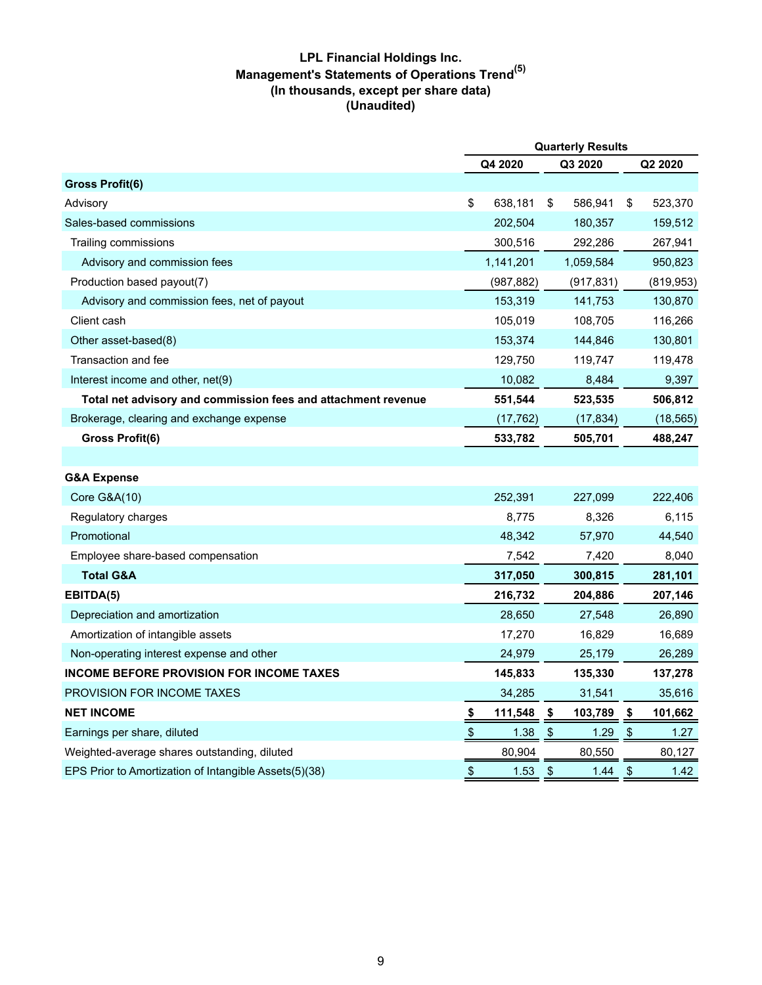# **LPL Financial Holdings Inc. Management's Statements of Operations Trend(5) (In thousands, except per share data) (Unaudited)**

|                                                               | <b>Quarterly Results</b>  |            |               |            |    |            |  |
|---------------------------------------------------------------|---------------------------|------------|---------------|------------|----|------------|--|
|                                                               |                           | Q4 2020    |               | Q3 2020    |    | Q2 2020    |  |
| <b>Gross Profit(6)</b>                                        |                           |            |               |            |    |            |  |
| Advisory                                                      | \$                        | 638,181    | \$            | 586,941    | \$ | 523,370    |  |
| Sales-based commissions                                       |                           | 202,504    |               | 180,357    |    | 159,512    |  |
| Trailing commissions                                          |                           | 300,516    |               | 292,286    |    | 267,941    |  |
| Advisory and commission fees                                  |                           | 1,141,201  |               | 1,059,584  |    | 950,823    |  |
| Production based payout(7)                                    |                           | (987, 882) |               | (917, 831) |    | (819, 953) |  |
| Advisory and commission fees, net of payout                   |                           | 153,319    |               | 141,753    |    | 130,870    |  |
| Client cash                                                   |                           | 105,019    |               | 108,705    |    | 116,266    |  |
| Other asset-based(8)                                          |                           | 153,374    |               | 144,846    |    | 130,801    |  |
| Transaction and fee                                           |                           | 129,750    |               | 119,747    |    | 119,478    |  |
| Interest income and other, net(9)                             |                           | 10,082     |               | 8,484      |    | 9,397      |  |
| Total net advisory and commission fees and attachment revenue |                           | 551,544    |               | 523,535    |    | 506,812    |  |
| Brokerage, clearing and exchange expense                      |                           | (17, 762)  |               | (17, 834)  |    | (18, 565)  |  |
| Gross Profit(6)                                               |                           | 533,782    |               | 505,701    |    | 488,247    |  |
|                                                               |                           |            |               |            |    |            |  |
| <b>G&amp;A Expense</b>                                        |                           |            |               |            |    |            |  |
| <b>Core G&amp;A(10)</b>                                       |                           | 252,391    |               | 227,099    |    | 222,406    |  |
| Regulatory charges                                            |                           | 8,775      |               | 8,326      |    | 6,115      |  |
| Promotional                                                   |                           | 48,342     |               | 57,970     |    | 44,540     |  |
| Employee share-based compensation                             |                           | 7,542      |               | 7,420      |    | 8,040      |  |
| <b>Total G&amp;A</b>                                          |                           | 317,050    |               | 300,815    |    | 281,101    |  |
| EBITDA(5)                                                     |                           | 216,732    |               | 204,886    |    | 207,146    |  |
| Depreciation and amortization                                 |                           | 28,650     |               | 27,548     |    | 26,890     |  |
| Amortization of intangible assets                             |                           | 17,270     |               | 16,829     |    | 16,689     |  |
| Non-operating interest expense and other                      |                           | 24,979     |               | 25,179     |    | 26,289     |  |
| <b>INCOME BEFORE PROVISION FOR INCOME TAXES</b>               |                           | 145,833    |               | 135,330    |    | 137,278    |  |
| <b>PROVISION FOR INCOME TAXES</b>                             |                           | 34,285     |               | 31,541     |    | 35,616     |  |
| <b>NET INCOME</b>                                             | $\frac{1}{2}$             | 111,548    | \$            | 103,789    | \$ | 101,662    |  |
| Earnings per share, diluted                                   | $\boldsymbol{\mathsf{S}}$ | 1.38       | $\frac{1}{2}$ | 1.29       | \$ | 1.27       |  |
| Weighted-average shares outstanding, diluted                  |                           | 80,904     |               | 80,550     |    | 80,127     |  |
| EPS Prior to Amortization of Intangible Assets(5)(38)         | \$                        | 1.53       | \$            | 1.44       | \$ | 1.42       |  |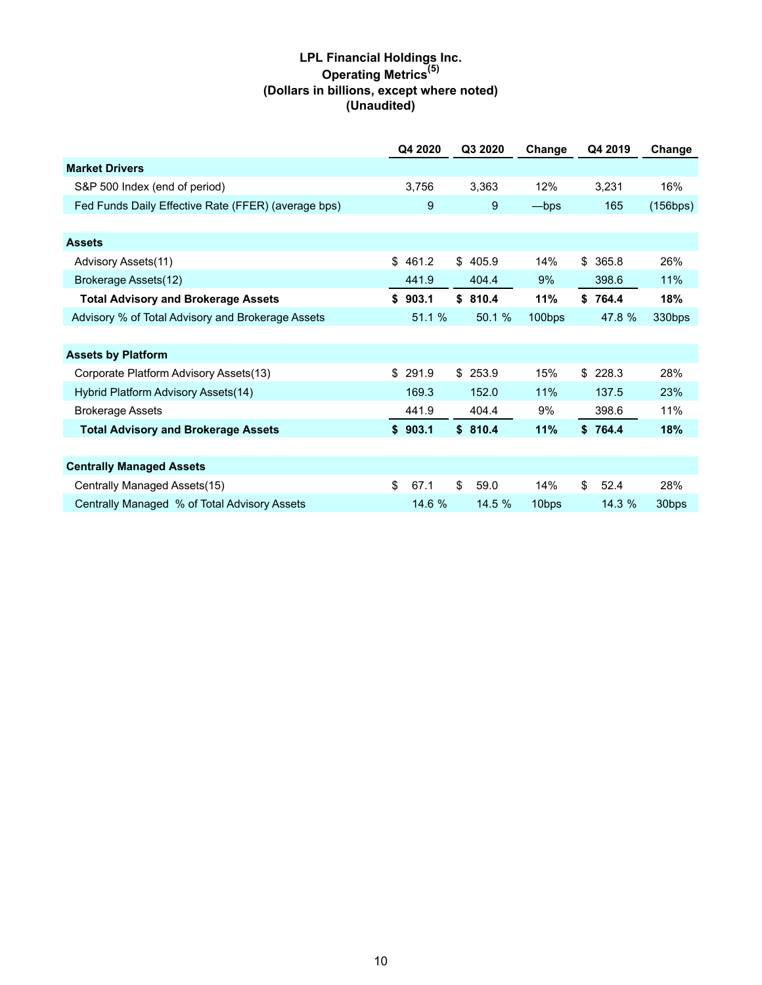# **LPL Financial Holdings Inc. Operating Metrics(5) (Dollars in billions, except where noted) (Unaudited)**

|                                                     | Q4 2020     | Q3 2020    | Change            | Q4 2019     | Change   |
|-----------------------------------------------------|-------------|------------|-------------------|-------------|----------|
| <b>Market Drivers</b>                               |             |            |                   |             |          |
| S&P 500 Index (end of period)                       | 3,756       | 3,363      | 12%               | 3,231       | 16%      |
| Fed Funds Daily Effective Rate (FFER) (average bps) | 9           | 9          | -bps              | 165         | (156bps) |
|                                                     |             |            |                   |             |          |
| <b>Assets</b>                                       |             |            |                   |             |          |
| Advisory Assets(11)                                 | \$<br>461.2 | \$405.9    | 14%               | \$<br>365.8 | 26%      |
| Brokerage Assets(12)                                | 441.9       | 404.4      | $9\%$             | 398.6       | 11%      |
| <b>Total Advisory and Brokerage Assets</b>          | \$903.1     | \$810.4    | 11%               | \$764.4     | 18%      |
| Advisory % of Total Advisory and Brokerage Assets   | 51.1 %      | 50.1 %     | 100bps            | 47.8 %      | 330bps   |
|                                                     |             |            |                   |             |          |
| <b>Assets by Platform</b>                           |             |            |                   |             |          |
| Corporate Platform Advisory Assets(13)              | \$<br>291.9 | \$253.9    | 15%               | \$<br>228.3 | 28%      |
| Hybrid Platform Advisory Assets(14)                 | 169.3       | 152.0      | 11%               | 137.5       | 23%      |
| <b>Brokerage Assets</b>                             | 441.9       | 404.4      | 9%                | 398.6       | 11%      |
| <b>Total Advisory and Brokerage Assets</b>          | \$903.1     | \$810.4    | 11%               | \$764.4     | 18%      |
|                                                     |             |            |                   |             |          |
| <b>Centrally Managed Assets</b>                     |             |            |                   |             |          |
| Centrally Managed Assets(15)                        | \$<br>67.1  | \$<br>59.0 | 14%               | \$<br>52.4  | 28%      |
| Centrally Managed % of Total Advisory Assets        | 14.6 %      | 14.5%      | 10 <sub>bps</sub> | 14.3 %      | 30bps    |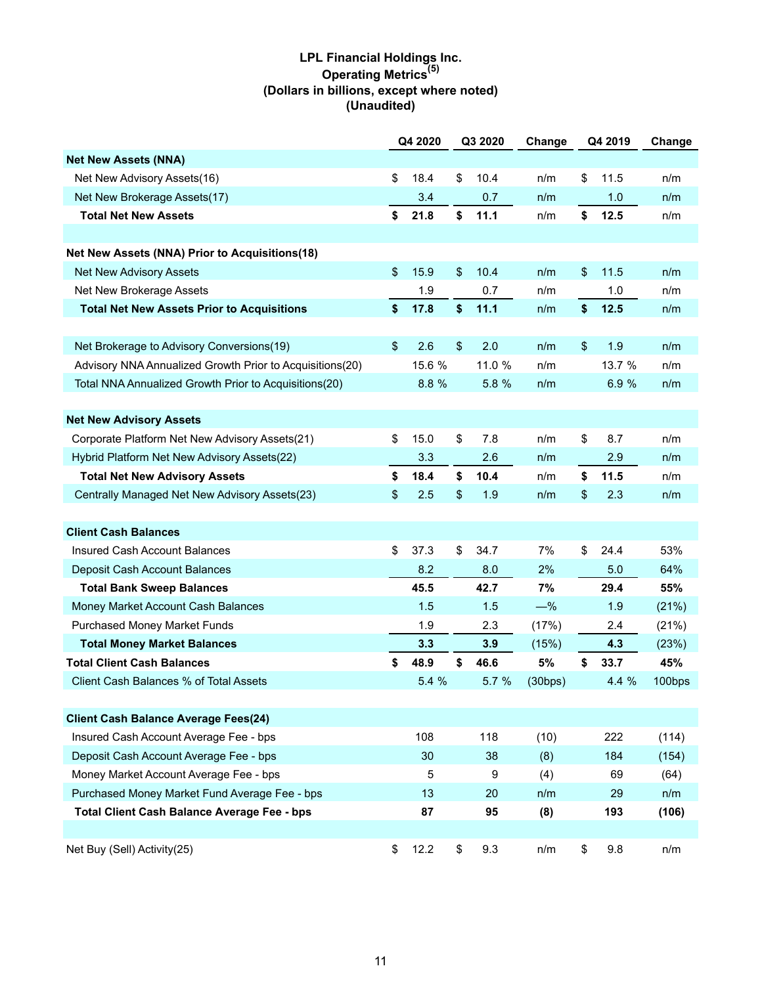# **LPL Financial Holdings Inc. Operating Metrics(5) (Dollars in billions, except where noted) (Unaudited)**

|                                                          | Q4 2020    |                         | Q3 2020 | Change  | Q4 2019    | Change |
|----------------------------------------------------------|------------|-------------------------|---------|---------|------------|--------|
| <b>Net New Assets (NNA)</b>                              |            |                         |         |         |            |        |
| Net New Advisory Assets(16)                              | \$<br>18.4 | \$                      | 10.4    | n/m     | \$<br>11.5 | n/m    |
| Net New Brokerage Assets(17)                             | 3.4        |                         | 0.7     | n/m     | 1.0        | n/m    |
| <b>Total Net New Assets</b>                              | \$<br>21.8 | \$                      | 11.1    | n/m     | \$<br>12.5 | n/m    |
|                                                          |            |                         |         |         |            |        |
| Net New Assets (NNA) Prior to Acquisitions(18)           |            |                         |         |         |            |        |
| <b>Net New Advisory Assets</b>                           | \$<br>15.9 | $\frac{1}{2}$           | 10.4    | n/m     | \$<br>11.5 | n/m    |
| Net New Brokerage Assets                                 | 1.9        |                         | 0.7     | n/m     | 1.0        | n/m    |
| <b>Total Net New Assets Prior to Acquisitions</b>        | \$<br>17.8 | \$                      | 11.1    | n/m     | \$<br>12.5 | n/m    |
|                                                          |            |                         |         |         |            |        |
| Net Brokerage to Advisory Conversions(19)                | \$<br>2.6  | $\sqrt[6]{\frac{1}{2}}$ | 2.0     | n/m     | \$<br>1.9  | n/m    |
| Advisory NNA Annualized Growth Prior to Acquisitions(20) | 15.6 %     |                         | 11.0 %  | n/m     | 13.7 %     | n/m    |
| Total NNA Annualized Growth Prior to Acquisitions(20)    | 8.8 %      |                         | 5.8 %   | n/m     | 6.9 %      | n/m    |
|                                                          |            |                         |         |         |            |        |
| <b>Net New Advisory Assets</b>                           |            |                         |         |         |            |        |
| Corporate Platform Net New Advisory Assets(21)           | \$<br>15.0 | \$                      | 7.8     | n/m     | \$<br>8.7  | n/m    |
| Hybrid Platform Net New Advisory Assets(22)              | 3.3        |                         | 2.6     | n/m     | 2.9        | n/m    |
| <b>Total Net New Advisory Assets</b>                     | \$<br>18.4 | \$                      | 10.4    | n/m     | \$<br>11.5 | n/m    |
| Centrally Managed Net New Advisory Assets(23)            | \$<br>2.5  | \$                      | 1.9     | n/m     | \$<br>2.3  | n/m    |
|                                                          |            |                         |         |         |            |        |
| <b>Client Cash Balances</b>                              |            |                         |         |         |            |        |
| Insured Cash Account Balances                            | \$<br>37.3 | \$                      | 34.7    | 7%      | \$<br>24.4 | 53%    |
| Deposit Cash Account Balances                            | 8.2        |                         | 8.0     | 2%      | 5.0        | 64%    |
| <b>Total Bank Sweep Balances</b>                         | 45.5       |                         | 42.7    | 7%      | 29.4       | 55%    |
| Money Market Account Cash Balances                       | 1.5        |                         | 1.5     | $-\%$   | 1.9        | (21%)  |
| <b>Purchased Money Market Funds</b>                      | 1.9        |                         | 2.3     | (17%)   | 2.4        | (21%)  |
| <b>Total Money Market Balances</b>                       | 3.3        |                         | 3.9     | (15%)   | 4.3        | (23%)  |
| <b>Total Client Cash Balances</b>                        | \$<br>48.9 | \$                      | 46.6    | 5%      | \$<br>33.7 | 45%    |
| Client Cash Balances % of Total Assets                   | 5.4%       |                         | 5.7 %   | (30bps) | 4.4%       | 100bps |
|                                                          |            |                         |         |         |            |        |
| <b>Client Cash Balance Average Fees(24)</b>              |            |                         |         |         |            |        |
| Insured Cash Account Average Fee - bps                   | 108        |                         | 118     | (10)    | 222        | (114)  |
| Deposit Cash Account Average Fee - bps                   | 30         |                         | 38      | (8)     | 184        | (154)  |
| Money Market Account Average Fee - bps                   | 5          |                         | 9       | (4)     | 69         | (64)   |
| Purchased Money Market Fund Average Fee - bps            | 13         |                         | 20      | n/m     | 29         | n/m    |
| <b>Total Client Cash Balance Average Fee - bps</b>       | 87         |                         | 95      | (8)     | 193        | (106)  |
|                                                          |            |                         |         |         |            |        |
| Net Buy (Sell) Activity(25)                              | \$<br>12.2 | \$                      | 9.3     | n/m     | \$<br>9.8  | n/m    |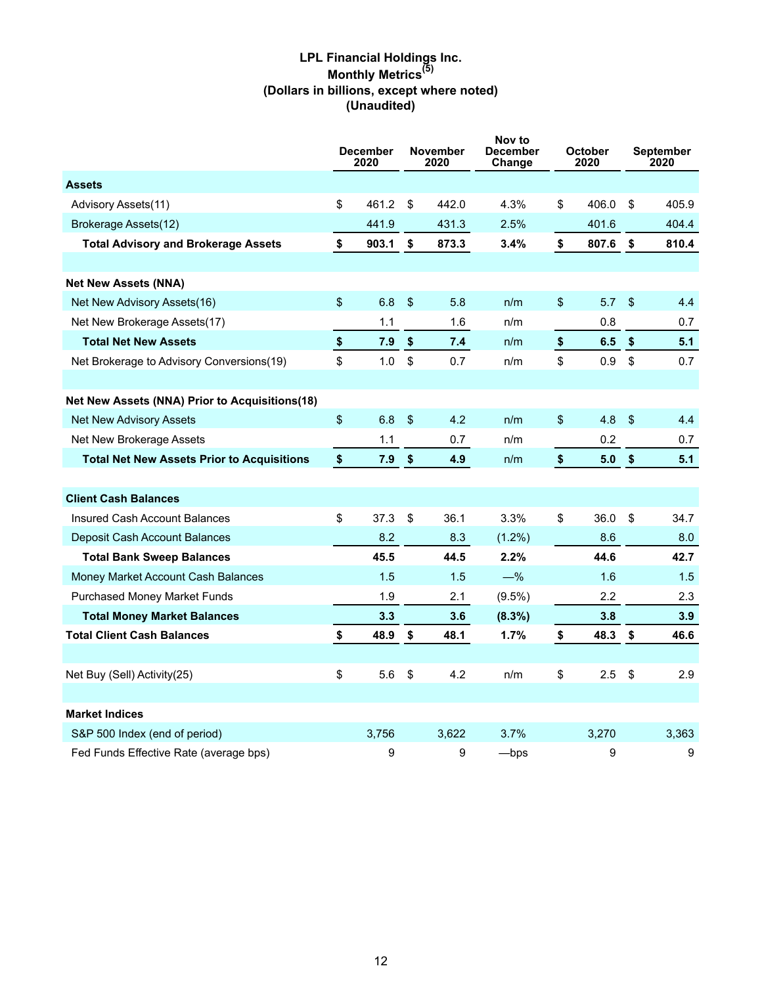# **LPL Financial Holdings Inc. Monthly Metrics(5) (Dollars in billions, except where noted) (Unaudited)**

|                                                       |            | <b>December</b><br>2020 | <b>November</b><br>2020 |       | Nov to<br>December<br>Change |                         | <b>October</b><br>2020 |                         | September<br>2020 |  |
|-------------------------------------------------------|------------|-------------------------|-------------------------|-------|------------------------------|-------------------------|------------------------|-------------------------|-------------------|--|
| <b>Assets</b>                                         |            |                         |                         |       |                              |                         |                        |                         |                   |  |
| Advisory Assets(11)                                   | \$         | 461.2                   | \$                      | 442.0 | 4.3%                         | \$                      | 406.0                  | \$                      | 405.9             |  |
| Brokerage Assets(12)                                  |            | 441.9                   |                         | 431.3 | 2.5%                         |                         | 401.6                  |                         | 404.4             |  |
| <b>Total Advisory and Brokerage Assets</b>            | \$         | 903.1                   | \$                      | 873.3 | 3.4%                         | \$                      | 807.6                  | \$                      | 810.4             |  |
|                                                       |            |                         |                         |       |                              |                         |                        |                         |                   |  |
| <b>Net New Assets (NNA)</b>                           |            |                         |                         |       |                              |                         |                        |                         |                   |  |
| Net New Advisory Assets(16)                           | \$         | 6.8                     | $\sqrt[6]{\frac{1}{2}}$ | 5.8   | n/m                          | \$                      | 5.7                    | \$                      | 4.4               |  |
| Net New Brokerage Assets(17)                          |            | 1.1                     |                         | 1.6   | n/m                          |                         | 0.8                    |                         | 0.7               |  |
| <b>Total Net New Assets</b>                           | $\pmb{\$}$ | 7.9                     | $\sqrt[6]{2}$           | 7.4   | n/m                          | $\pmb{\$}$              | 6.5                    | $\sqrt[6]{\frac{1}{2}}$ | 5.1               |  |
| Net Brokerage to Advisory Conversions(19)             | \$         | 1.0                     | $\mathfrak s$           | 0.7   | n/m                          | \$                      | 0.9                    | $\mathbb{S}$            | 0.7               |  |
|                                                       |            |                         |                         |       |                              |                         |                        |                         |                   |  |
| <b>Net New Assets (NNA) Prior to Acquisitions(18)</b> |            |                         |                         |       |                              |                         |                        |                         |                   |  |
| Net New Advisory Assets                               | \$         | 6.8                     | $\sqrt[6]{\frac{1}{2}}$ | 4.2   | n/m                          | \$                      | 4.8                    | $\sqrt[6]{\frac{1}{2}}$ | 4.4               |  |
| Net New Brokerage Assets                              |            | 1.1                     |                         | 0.7   | n/m                          |                         | 0.2                    |                         | 0.7               |  |
| <b>Total Net New Assets Prior to Acquisitions</b>     | \$         | 7.9                     | \$                      | 4.9   | n/m                          | $\sqrt[6]{\frac{1}{2}}$ | 5.0                    | \$                      | 5.1               |  |
|                                                       |            |                         |                         |       |                              |                         |                        |                         |                   |  |
| <b>Client Cash Balances</b>                           |            |                         |                         |       |                              |                         |                        |                         |                   |  |
| <b>Insured Cash Account Balances</b>                  | \$         | 37.3                    | \$                      | 36.1  | 3.3%                         | \$                      | 36.0                   | $\mathsf{\$}$           | 34.7              |  |
| Deposit Cash Account Balances                         |            | 8.2                     |                         | 8.3   | $(1.2\%)$                    |                         | 8.6                    |                         | 8.0               |  |
| <b>Total Bank Sweep Balances</b>                      |            | 45.5                    |                         | 44.5  | 2.2%                         |                         | 44.6                   |                         | 42.7              |  |
| Money Market Account Cash Balances                    |            | 1.5                     |                         | 1.5   | $-\%$                        |                         | 1.6                    |                         | 1.5               |  |
| <b>Purchased Money Market Funds</b>                   |            | 1.9                     |                         | 2.1   | $(9.5\%)$                    |                         | 2.2                    |                         | 2.3               |  |
| <b>Total Money Market Balances</b>                    |            | 3.3                     |                         | 3.6   | $(8.3\%)$                    |                         | 3.8                    |                         | 3.9               |  |
| <b>Total Client Cash Balances</b>                     | \$         | 48.9                    | \$                      | 48.1  | 1.7%                         | \$                      | 48.3                   | \$                      | 46.6              |  |
|                                                       |            |                         |                         |       |                              |                         |                        |                         |                   |  |
| Net Buy (Sell) Activity(25)                           | \$         | 5.6                     | \$                      | 4.2   | n/m                          | \$                      | 2.5                    | \$                      | 2.9               |  |
|                                                       |            |                         |                         |       |                              |                         |                        |                         |                   |  |
| <b>Market Indices</b>                                 |            |                         |                         |       |                              |                         |                        |                         |                   |  |
| S&P 500 Index (end of period)                         |            | 3,756                   |                         | 3,622 | 3.7%                         |                         | 3,270                  |                         | 3,363             |  |
| Fed Funds Effective Rate (average bps)                |            | 9                       |                         | 9     | $-\mathsf{bps}$              |                         | 9                      |                         | 9                 |  |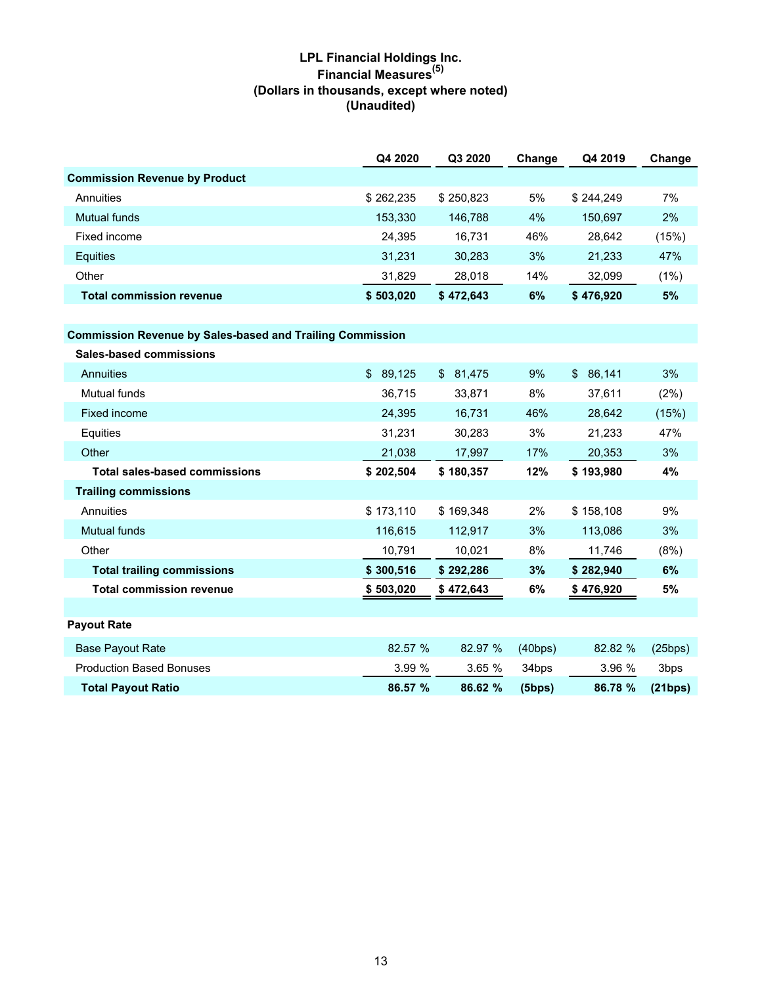# **LPL Financial Holdings Inc. Financial Measures(5) (Dollars in thousands, except where noted) (Unaudited)**

|                                      | Q4 2020   | Q3 2020   | Change | Q4 2019   | Change |
|--------------------------------------|-----------|-----------|--------|-----------|--------|
| <b>Commission Revenue by Product</b> |           |           |        |           |        |
| Annuities                            | \$262,235 | \$250.823 | 5%     | \$244.249 | 7%     |
| Mutual funds                         | 153,330   | 146.788   | 4%     | 150.697   | 2%     |
| Fixed income                         | 24,395    | 16.731    | 46%    | 28.642    | (15%)  |
| <b>Equities</b>                      | 31.231    | 30.283    | 3%     | 21.233    | 47%    |
| Other                                | 31,829    | 28.018    | 14%    | 32,099    | (1%)   |
| <b>Total commission revenue</b>      | \$503.020 | \$472.643 | 6%     | \$476.920 | 5%     |

### **Commission Revenue by Sales-based and Trailing Commission**

| Sales-based commissions              |           |              |         |           |         |
|--------------------------------------|-----------|--------------|---------|-----------|---------|
| Annuities                            | \$89,125  | \$<br>81,475 | 9%      | \$86,141  | 3%      |
| Mutual funds                         | 36,715    | 33,871       | 8%      | 37,611    | (2%)    |
| Fixed income                         | 24,395    | 16,731       | 46%     | 28,642    | (15%)   |
| Equities                             | 31,231    | 30,283       | 3%      | 21,233    | 47%     |
| Other                                | 21,038    | 17,997       | 17%     | 20,353    | 3%      |
| <b>Total sales-based commissions</b> | \$202,504 | \$180,357    | 12%     | \$193,980 | 4%      |
| <b>Trailing commissions</b>          |           |              |         |           |         |
| Annuities                            | \$173,110 | \$169,348    | 2%      | \$158,108 | 9%      |
| <b>Mutual funds</b>                  | 116,615   | 112,917      | 3%      | 113,086   | 3%      |
| Other                                | 10,791    | 10,021       | 8%      | 11,746    | (8%)    |
| <b>Total trailing commissions</b>    | \$300,516 | \$292,286    | 3%      | \$282,940 | 6%      |
| <b>Total commission revenue</b>      | \$503,020 | \$472,643    | 6%      | \$476,920 | 5%      |
|                                      |           |              |         |           |         |
| <b>Payout Rate</b>                   |           |              |         |           |         |
| <b>Base Payout Rate</b>              | 82.57 %   | 82.97 %      | (40bps) | 82.82 %   | (25bps) |
| <b>Production Based Bonuses</b>      | 3.99%     | 3.65%        | 34bps   | 3.96 %    | 3bps    |
| <b>Total Payout Ratio</b>            | 86.57 %   | 86.62 %      | (5bps)  | 86.78 %   | (21bps) |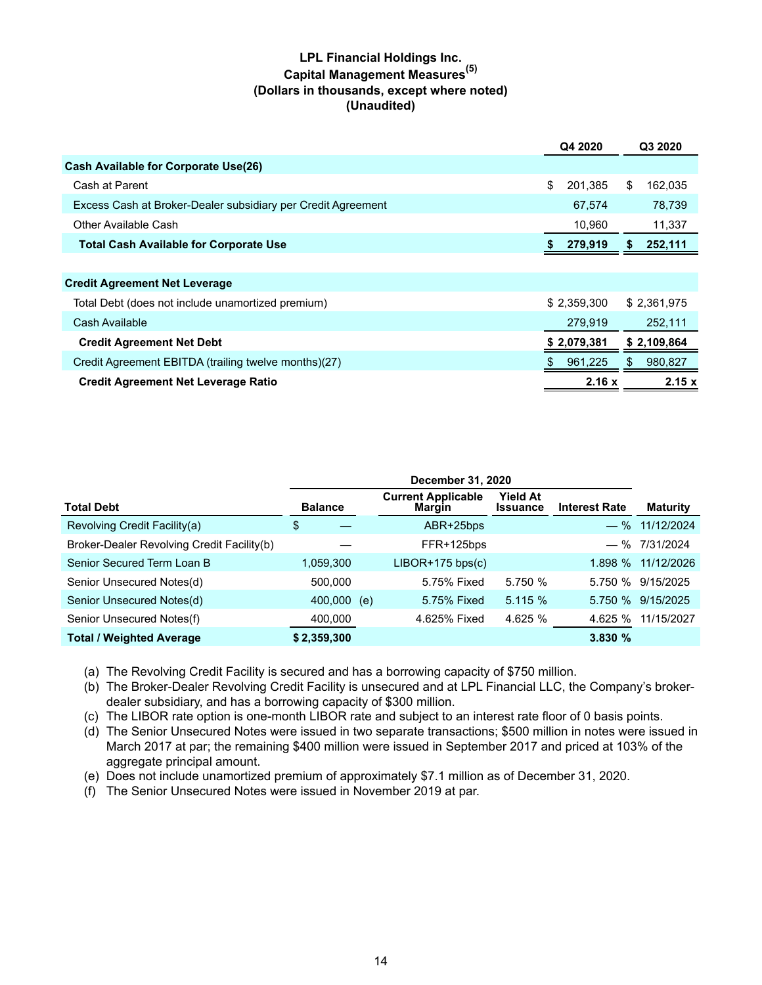# **LPL Financial Holdings Inc. Capital Management Measures(5) (Dollars in thousands, except where noted) (Unaudited)**

| <b>Cash Available for Corporate Use(26)</b>                                  |             |
|------------------------------------------------------------------------------|-------------|
| \$<br>201.385<br>\$<br>Cash at Parent                                        | 162,035     |
| Excess Cash at Broker-Dealer subsidiary per Credit Agreement<br>67,574       | 78,739      |
| 10,960<br>Other Available Cash                                               | 11,337      |
| <b>Total Cash Available for Corporate Use</b><br>279,919<br>P.               | 252,111     |
|                                                                              |             |
| <b>Credit Agreement Net Leverage</b>                                         |             |
| \$2,359,300<br>Total Debt (does not include unamortized premium)             | \$2,361,975 |
| Cash Available<br>279,919                                                    | 252,111     |
| \$2,079,381<br><b>Credit Agreement Net Debt</b>                              | \$2,109,864 |
| Credit Agreement EBITDA (trailing twelve months)(27)<br>961,225<br>\$.<br>S. | 980,827     |
| 2.16x<br><b>Credit Agreement Net Leverage Ratio</b>                          | 2.15x       |

| <b>Total Debt</b>                          | <b>Balance</b> |     | <b>Current Applicable</b><br>Margin | Yield At<br><b>Issuance</b> | <b>Interest Rate</b> | <b>Maturity</b>   |
|--------------------------------------------|----------------|-----|-------------------------------------|-----------------------------|----------------------|-------------------|
| Revolving Credit Facility(a)               | \$             |     | ABR+25bps                           |                             |                      | $-$ % 11/12/2024  |
| Broker-Dealer Revolving Credit Facility(b) |                |     | FFR+125bps                          |                             |                      | $-$ % 7/31/2024   |
| Senior Secured Term Loan B                 | 1,059,300      |     | $LIBOR+175$ bps(c)                  |                             | 1.898%               | 11/12/2026        |
| Senior Unsecured Notes(d)                  | 500,000        |     | 5.75% Fixed                         | 5.750 %                     |                      | 5.750 % 9/15/2025 |
| Senior Unsecured Notes(d)                  | 400,000        | (e) | 5.75% Fixed                         | 5.115%                      |                      | 5.750 % 9/15/2025 |
| Senior Unsecured Notes(f)                  | 400,000        |     | 4.625% Fixed                        | 4.625 %                     | 4.625 %              | 11/15/2027        |
| <b>Total / Weighted Average</b>            | \$2,359,300    |     |                                     |                             | 3.830%               |                   |

(a) The Revolving Credit Facility is secured and has a borrowing capacity of \$750 million.

(b) The Broker-Dealer Revolving Credit Facility is unsecured and at LPL Financial LLC, the Company's brokerdealer subsidiary, and has a borrowing capacity of \$300 million.

(c) The LIBOR rate option is one-month LIBOR rate and subject to an interest rate floor of 0 basis points.

- (d) The Senior Unsecured Notes were issued in two separate transactions; \$500 million in notes were issued in March 2017 at par; the remaining \$400 million were issued in September 2017 and priced at 103% of the aggregate principal amount.
- (e) Does not include unamortized premium of approximately \$7.1 million as of December 31, 2020.

(f) The Senior Unsecured Notes were issued in November 2019 at par.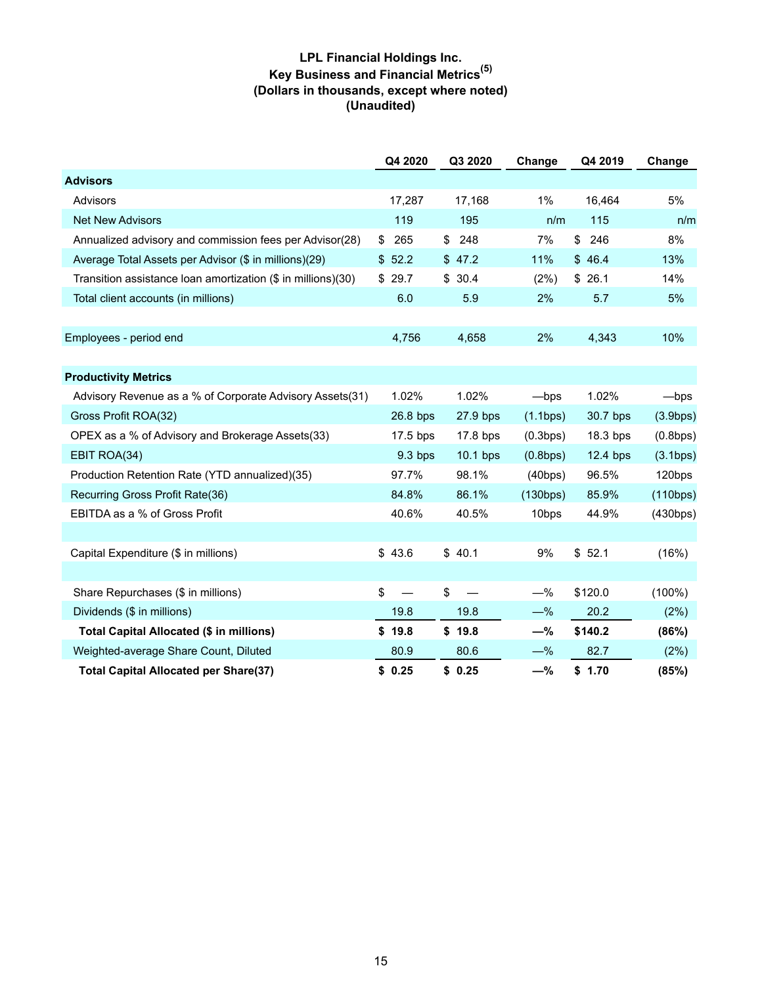# **LPL Financial Holdings Inc. Key Business and Financial Metrics(5) (Dollars in thousands, except where noted) (Unaudited)**

|                                                              | Q4 2020    | Q3 2020                        | Change   | Q4 2019    | Change    |
|--------------------------------------------------------------|------------|--------------------------------|----------|------------|-----------|
| <b>Advisors</b>                                              |            |                                |          |            |           |
| Advisors                                                     | 17,287     | 17,168                         | $1\%$    | 16,464     | 5%        |
| <b>Net New Advisors</b>                                      | 119        | 195                            | n/m      | 115        | n/m       |
| Annualized advisory and commission fees per Advisor(28)      | \$<br>265  | \$<br>248                      | 7%       | \$<br>246  | 8%        |
| Average Total Assets per Advisor (\$ in millions)(29)        | \$52.2     | \$47.2                         | 11%      | \$46.4     | 13%       |
| Transition assistance loan amortization (\$ in millions)(30) | \$<br>29.7 | \$30.4                         | (2%)     | \$26.1     | 14%       |
| Total client accounts (in millions)                          | 6.0        | 5.9                            | 2%       | 5.7        | 5%        |
|                                                              |            |                                |          |            |           |
| Employees - period end                                       | 4,756      | 4,658                          | 2%       | 4,343      | 10%       |
|                                                              |            |                                |          |            |           |
| <b>Productivity Metrics</b>                                  |            |                                |          |            |           |
| Advisory Revenue as a % of Corporate Advisory Assets(31)     | 1.02%      | 1.02%                          | -bps     | 1.02%      | —bps      |
| Gross Profit ROA(32)                                         | 26.8 bps   | 27.9 bps                       | (1.1bps) | 30.7 bps   | (3.9bps)  |
| OPEX as a % of Advisory and Brokerage Assets(33)             | 17.5 bps   | 17.8 bps                       | (0.3bps) | 18.3 bps   | (0.8bps)  |
| EBIT ROA(34)                                                 | $9.3$ bps  | $10.1$ bps                     | (0.8bps) | $12.4$ bps | (3.1bps)  |
| Production Retention Rate (YTD annualized)(35)               | 97.7%      | 98.1%                          | (40bps)  | 96.5%      | 120bps    |
| Recurring Gross Profit Rate(36)                              | 84.8%      | 86.1%                          | (130bps) | 85.9%      | (110bps)  |
| EBITDA as a % of Gross Profit                                | 40.6%      | 40.5%                          | 10bps    | 44.9%      | (430bps)  |
|                                                              |            |                                |          |            |           |
| Capital Expenditure (\$ in millions)                         | \$43.6     | \$40.1                         | 9%       | \$52.1     | (16%)     |
|                                                              |            |                                |          |            |           |
| Share Repurchases (\$ in millions)                           | \$         | \$<br>$\overline{\phantom{0}}$ | $-\%$    | \$120.0    | $(100\%)$ |
| Dividends (\$ in millions)                                   | 19.8       | 19.8                           | $-\%$    | 20.2       | (2%)      |
| Total Capital Allocated (\$ in millions)                     | \$19.8     | \$19.8                         | $-\%$    | \$140.2    | (86%)     |
| Weighted-average Share Count, Diluted                        | 80.9       | 80.6                           | $-\%$    | 82.7       | (2%)      |
| <b>Total Capital Allocated per Share(37)</b>                 | \$0.25     | \$0.25                         | $-\%$    | \$1.70     | (85%)     |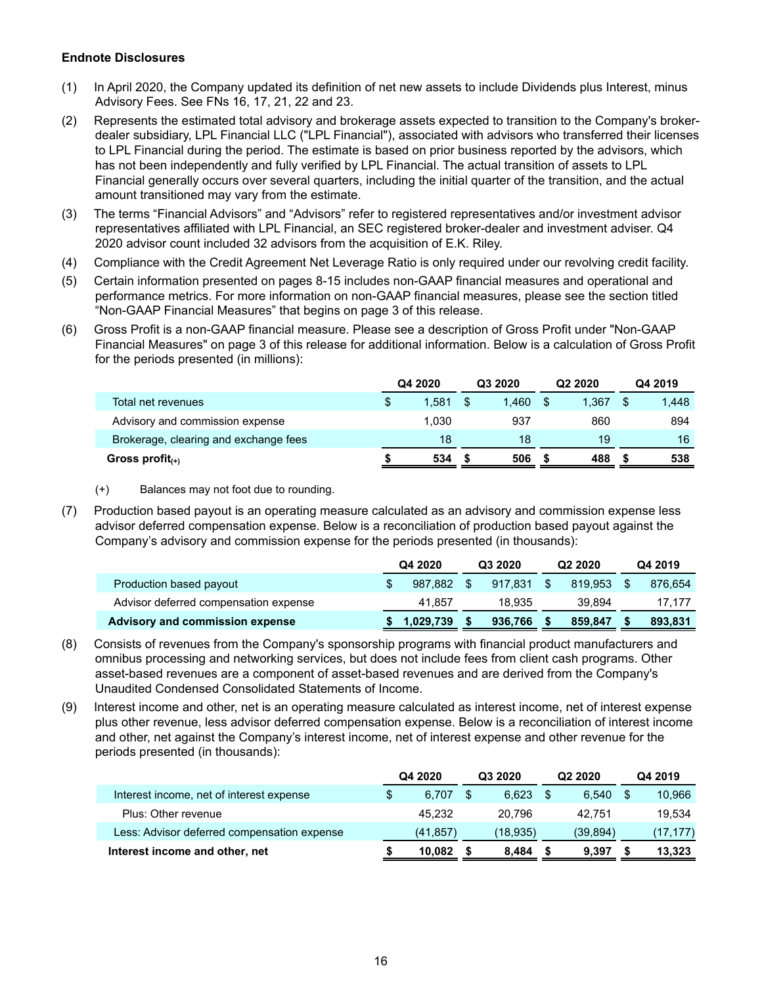#### **Endnote Disclosures**

- (1) In April 2020, the Company updated its definition of net new assets to include Dividends plus Interest, minus Advisory Fees. See FNs 16, 17, 21, 22 and 23.
- (2) Represents the estimated total advisory and brokerage assets expected to transition to the Company's brokerdealer subsidiary, LPL Financial LLC ("LPL Financial"), associated with advisors who transferred their licenses to LPL Financial during the period. The estimate is based on prior business reported by the advisors, which has not been independently and fully verified by LPL Financial. The actual transition of assets to LPL Financial generally occurs over several quarters, including the initial quarter of the transition, and the actual amount transitioned may vary from the estimate.
- (3) The terms "Financial Advisors" and "Advisors" refer to registered representatives and/or investment advisor representatives affiliated with LPL Financial, an SEC registered broker-dealer and investment adviser. Q4 2020 advisor count included 32 advisors from the acquisition of E.K. Riley.
- (4) Compliance with the Credit Agreement Net Leverage Ratio is only required under our revolving credit facility.
- (5) Certain information presented on pages 8-15 includes non-GAAP financial measures and operational and performance metrics. For more information on non-GAAP financial measures, please see the section titled "Non-GAAP Financial Measures" that begins on page 3 of this release.
- (6) Gross Profit is a non-GAAP financial measure. Please see a description of Gross Profit under "Non-GAAP Financial Measures" on page 3 of this release for additional information. Below is a calculation of Gross Profit for the periods presented (in millions):

|                                       | Q4 2020 |       | Q3 2020 |       |  | Q <sub>2</sub> 2020 | Q4 2019 |       |
|---------------------------------------|---------|-------|---------|-------|--|---------------------|---------|-------|
| Total net revenues                    | \$      | 1.581 |         | 1.460 |  | 1.367               |         | 1.448 |
| Advisory and commission expense       |         | 1.030 |         | 937   |  | 860                 |         | 894   |
| Brokerage, clearing and exchange fees |         | 18    |         | 18    |  | 19                  |         | 16    |
| Gross profit $_{(+)}$                 |         | 534   |         | 506   |  | 488                 |         | 538   |

- (+) Balances may not foot due to rounding.
- (7) Production based payout is an operating measure calculated as an advisory and commission expense less advisor deferred compensation expense. Below is a reconciliation of production based payout against the Company's advisory and commission expense for the periods presented (in thousands):

|                                       | Q4 2020   | Q3 2020 | Q <sub>2</sub> 2020 |         |    | Q4 2019 |
|---------------------------------------|-----------|---------|---------------------|---------|----|---------|
| Production based payout               | 987.882   | 917.831 | - S                 | 819.953 | -S | 876.654 |
| Advisor deferred compensation expense | 41.857    | 18.935  |                     | 39.894  |    | 17.177  |
| Advisory and commission expense       | 1.029.739 | 936.766 |                     | 859.847 |    | 893.831 |

- (8) Consists of revenues from the Company's sponsorship programs with financial product manufacturers and omnibus processing and networking services, but does not include fees from client cash programs. Other asset-based revenues are a component of asset-based revenues and are derived from the Company's Unaudited Condensed Consolidated Statements of Income.
- (9) Interest income and other, net is an operating measure calculated as interest income, net of interest expense plus other revenue, less advisor deferred compensation expense. Below is a reconciliation of interest income and other, net against the Company's interest income, net of interest expense and other revenue for the periods presented (in thousands):

|                                             | Q4 2020     | Q3 2020 |           | Q <sub>2</sub> 2020 |          | Q4 2019   |
|---------------------------------------------|-------------|---------|-----------|---------------------|----------|-----------|
| Interest income, net of interest expense    | \$<br>6.707 |         | 6.623     | S                   | 6.540    | 10,966    |
| Plus: Other revenue                         | 45.232      |         | 20.796    |                     | 42.751   | 19.534    |
| Less: Advisor deferred compensation expense | (41, 857)   |         | (18, 935) |                     | (39.894) | (17, 177) |
| Interest income and other, net              | 10.082      |         | 8.484     |                     | 9.397    | 13,323    |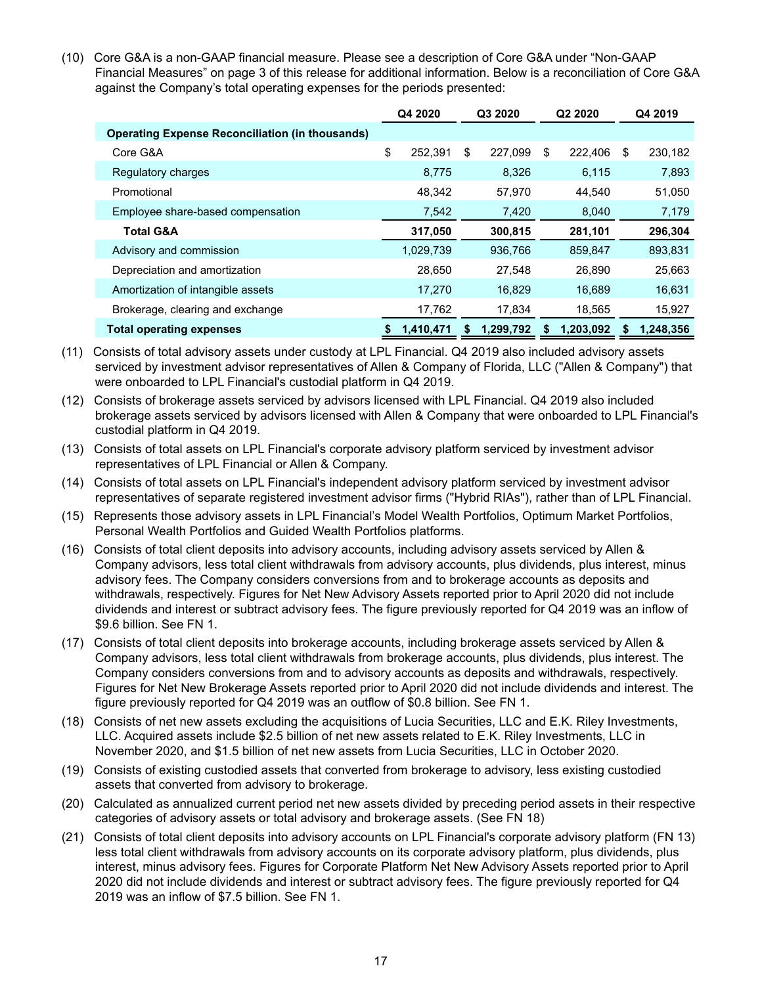(10) Core G&A is a non-GAAP financial measure. Please see a description of Core G&A under "Non-GAAP Financial Measures" on page 3 of this release for additional information. Below is a reconciliation of Core G&A against the Company's total operating expenses for the periods presented:

|                                                        | Q4 2020         | Q3 2020<br>Q <sub>2</sub> 20 <sub>20</sub> |                 | Q4 2019         |
|--------------------------------------------------------|-----------------|--------------------------------------------|-----------------|-----------------|
| <b>Operating Expense Reconciliation (in thousands)</b> |                 |                                            |                 |                 |
| Core G&A                                               | \$<br>252.391   | \$<br>227.099                              | \$<br>222,406   | \$<br>230,182   |
| Regulatory charges                                     | 8,775           | 8,326                                      | 6,115           | 7,893           |
| Promotional                                            | 48,342          | 57,970                                     | 44,540          | 51,050          |
| Employee share-based compensation                      | 7,542           | 7,420                                      | 8,040           | 7,179           |
| <b>Total G&amp;A</b>                                   | 317,050         | 300,815                                    | 281,101         | 296,304         |
| Advisory and commission                                | 1,029,739       | 936,766                                    | 859,847         | 893,831         |
| Depreciation and amortization                          | 28,650          | 27,548                                     | 26,890          | 25,663          |
| Amortization of intangible assets                      | 17,270          | 16,829                                     | 16,689          | 16,631          |
| Brokerage, clearing and exchange                       | 17,762          | 17.834                                     | 18,565          | 15,927          |
| <b>Total operating expenses</b>                        | 1,410,471<br>\$ | 1,299,792<br>S                             | 1.203.092<br>\$ | 1.248.356<br>\$ |

- (11) Consists of total advisory assets under custody at LPL Financial. Q4 2019 also included advisory assets serviced by investment advisor representatives of Allen & Company of Florida, LLC ("Allen & Company") that were onboarded to LPL Financial's custodial platform in Q4 2019.
- (12) Consists of brokerage assets serviced by advisors licensed with LPL Financial. Q4 2019 also included brokerage assets serviced by advisors licensed with Allen & Company that were onboarded to LPL Financial's custodial platform in Q4 2019.
- (13) Consists of total assets on LPL Financial's corporate advisory platform serviced by investment advisor representatives of LPL Financial or Allen & Company.
- (14) Consists of total assets on LPL Financial's independent advisory platform serviced by investment advisor representatives of separate registered investment advisor firms ("Hybrid RIAs"), rather than of LPL Financial.
- (15) Represents those advisory assets in LPL Financial's Model Wealth Portfolios, Optimum Market Portfolios, Personal Wealth Portfolios and Guided Wealth Portfolios platforms.
- (16) Consists of total client deposits into advisory accounts, including advisory assets serviced by Allen & Company advisors, less total client withdrawals from advisory accounts, plus dividends, plus interest, minus advisory fees. The Company considers conversions from and to brokerage accounts as deposits and withdrawals, respectively. Figures for Net New Advisory Assets reported prior to April 2020 did not include dividends and interest or subtract advisory fees. The figure previously reported for Q4 2019 was an inflow of \$9.6 billion. See FN 1.
- (17) Consists of total client deposits into brokerage accounts, including brokerage assets serviced by Allen & Company advisors, less total client withdrawals from brokerage accounts, plus dividends, plus interest. The Company considers conversions from and to advisory accounts as deposits and withdrawals, respectively. Figures for Net New Brokerage Assets reported prior to April 2020 did not include dividends and interest. The figure previously reported for Q4 2019 was an outflow of \$0.8 billion. See FN 1.
- (18) Consists of net new assets excluding the acquisitions of Lucia Securities, LLC and E.K. Riley Investments, LLC. Acquired assets include \$2.5 billion of net new assets related to E.K. Riley Investments, LLC in November 2020, and \$1.5 billion of net new assets from Lucia Securities, LLC in October 2020.
- (19) Consists of existing custodied assets that converted from brokerage to advisory, less existing custodied assets that converted from advisory to brokerage.
- (20) Calculated as annualized current period net new assets divided by preceding period assets in their respective categories of advisory assets or total advisory and brokerage assets. (See FN 18)
- (21) Consists of total client deposits into advisory accounts on LPL Financial's corporate advisory platform (FN 13) less total client withdrawals from advisory accounts on its corporate advisory platform, plus dividends, plus interest, minus advisory fees. Figures for Corporate Platform Net New Advisory Assets reported prior to April 2020 did not include dividends and interest or subtract advisory fees. The figure previously reported for Q4 2019 was an inflow of \$7.5 billion. See FN 1.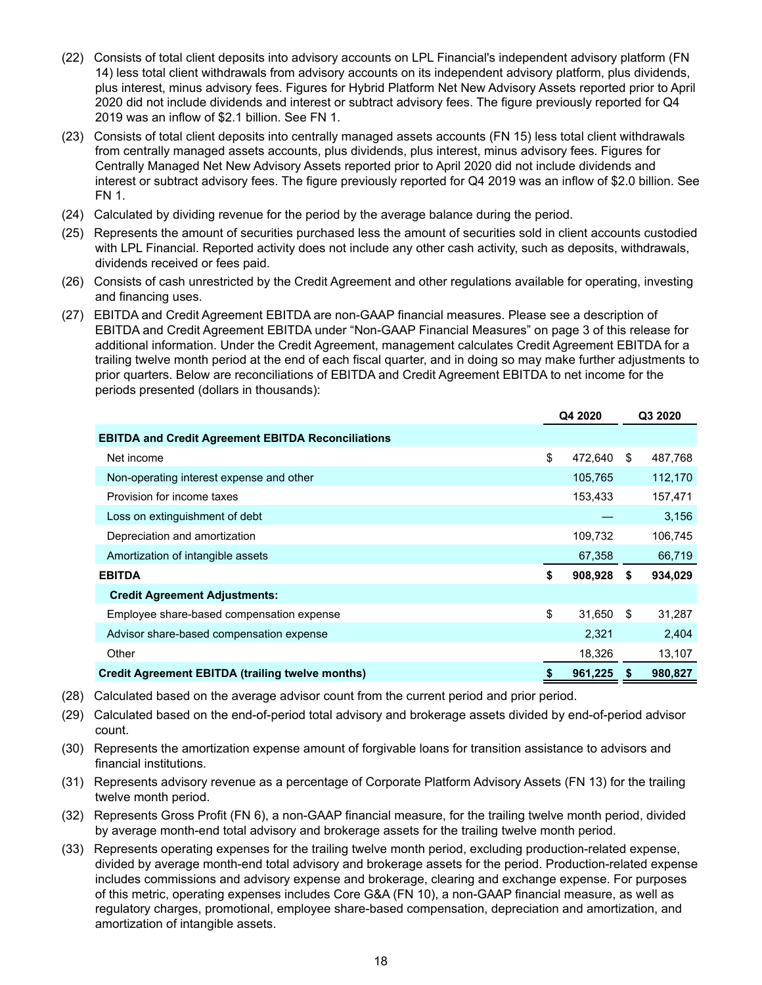- (22) Consists of total client deposits into advisory accounts on LPL Financial's independent advisory platform (FN 14) less total client withdrawals from advisory accounts on its independent advisory platform, plus dividends, plus interest, minus advisory fees. Figures for Hybrid Platform Net New Advisory Assets reported prior to April 2020 did not include dividends and interest or subtract advisory fees. The figure previously reported for Q4 2019 was an inflow of \$2.1 billion. See FN 1.
- (23) Consists of total client deposits into centrally managed assets accounts (FN 15) less total client withdrawals from centrally managed assets accounts, plus dividends, plus interest, minus advisory fees. Figures for Centrally Managed Net New Advisory Assets reported prior to April 2020 did not include dividends and interest or subtract advisory fees. The figure previously reported for Q4 2019 was an inflow of \$2.0 billion. See FN 1.
- (24) Calculated by dividing revenue for the period by the average balance during the period.
- (25) Represents the amount of securities purchased less the amount of securities sold in client accounts custodied with LPL Financial. Reported activity does not include any other cash activity, such as deposits, withdrawals, dividends received or fees paid.
- (26) Consists of cash unrestricted by the Credit Agreement and other regulations available for operating, investing and financing uses.
- (27) EBITDA and Credit Agreement EBITDA are non-GAAP financial measures. Please see a description of EBITDA and Credit Agreement EBITDA under "Non-GAAP Financial Measures" on page 3 of this release for additional information. Under the Credit Agreement, management calculates Credit Agreement EBITDA for a trailing twelve month period at the end of each fiscal quarter, and in doing so may make further adjustments to prior quarters. Below are reconciliations of EBITDA and Credit Agreement EBITDA to net income for the periods presented (dollars in thousands):

|                                                           | Q4 2020       |    | Q3 2020 |  |
|-----------------------------------------------------------|---------------|----|---------|--|
| <b>EBITDA and Credit Agreement EBITDA Reconciliations</b> |               |    |         |  |
| Net income                                                | \$<br>472.640 | \$ | 487,768 |  |
| Non-operating interest expense and other                  | 105,765       |    | 112,170 |  |
| Provision for income taxes                                | 153,433       |    | 157,471 |  |
| Loss on extinguishment of debt                            |               |    | 3,156   |  |
| Depreciation and amortization                             | 109,732       |    | 106,745 |  |
| Amortization of intangible assets                         | 67,358        |    | 66,719  |  |
| <b>EBITDA</b>                                             | \$<br>908,928 | S  | 934,029 |  |
| <b>Credit Agreement Adjustments:</b>                      |               |    |         |  |
| Employee share-based compensation expense                 | \$<br>31,650  | \$ | 31,287  |  |
| Advisor share-based compensation expense                  | 2,321         |    | 2,404   |  |
| Other                                                     | 18,326        |    | 13,107  |  |
| <b>Credit Agreement EBITDA (trailing twelve months)</b>   | 961,225       | S. | 980,827 |  |

- (28) Calculated based on the average advisor count from the current period and prior period.
- (29) Calculated based on the end-of-period total advisory and brokerage assets divided by end-of-period advisor count.
- (30) Represents the amortization expense amount of forgivable loans for transition assistance to advisors and financial institutions.
- (31) Represents advisory revenue as a percentage of Corporate Platform Advisory Assets (FN 13) for the trailing twelve month period.
- (32) Represents Gross Profit (FN 6), a non-GAAP financial measure, for the trailing twelve month period, divided by average month-end total advisory and brokerage assets for the trailing twelve month period.
- (33) Represents operating expenses for the trailing twelve month period, excluding production-related expense, divided by average month-end total advisory and brokerage assets for the period. Production-related expense includes commissions and advisory expense and brokerage, clearing and exchange expense. For purposes of this metric, operating expenses includes Core G&A (FN 10), a non-GAAP financial measure, as well as regulatory charges, promotional, employee share-based compensation, depreciation and amortization, and amortization of intangible assets.